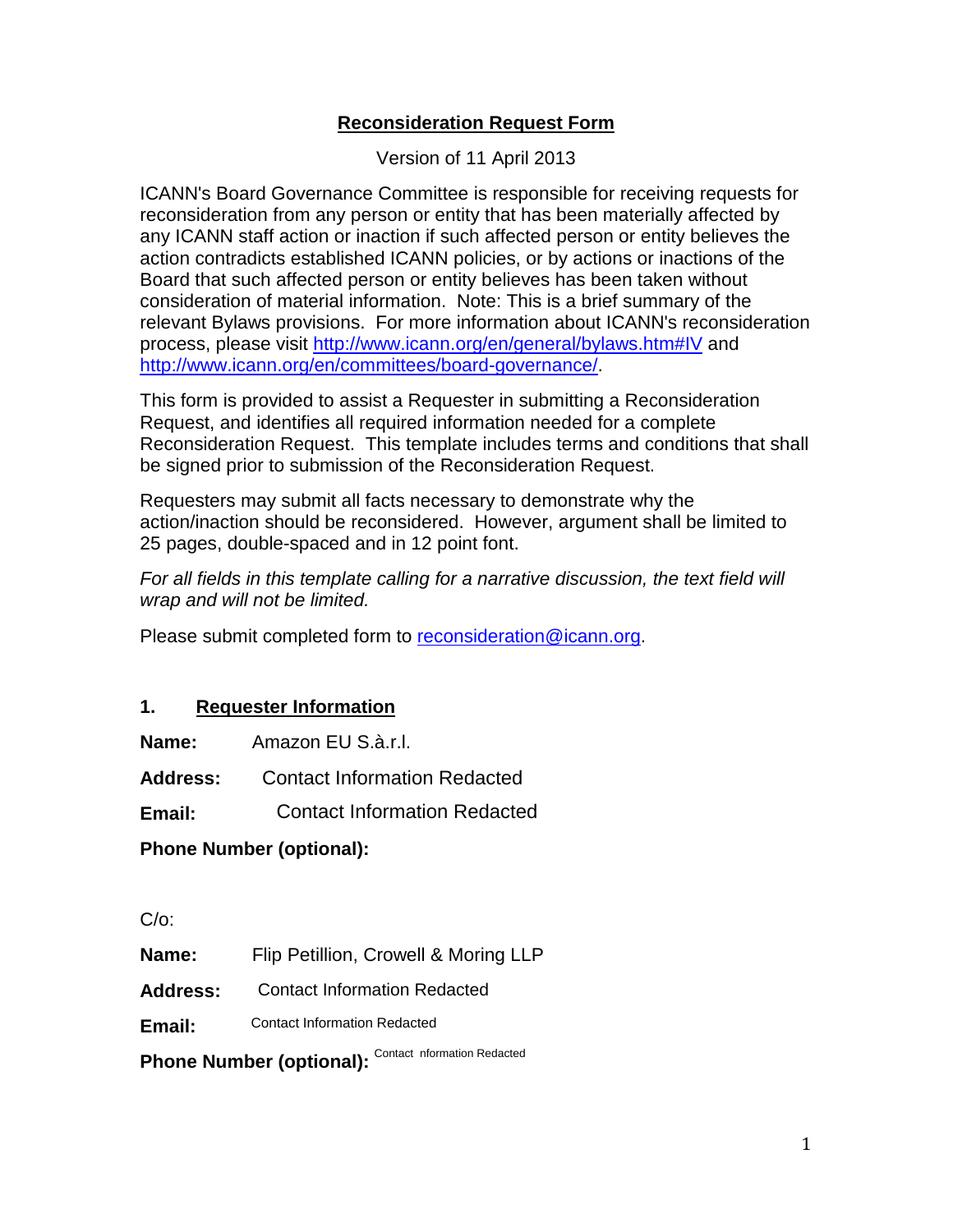## **Reconsideration Request Form**

Version of 11 April 2013

ICANN's Board Governance Committee is responsible for receiving requests for reconsideration from any person or entity that has been materially affected by any ICANN staff action or inaction if such affected person or entity believes the action contradicts established ICANN policies, or by actions or inactions of the Board that such affected person or entity believes has been taken without consideration of material information. Note: This is a brief summary of the relevant Bylaws provisions. For more information about ICANN's reconsideration process, please visit http://www.icann.org/en/general/bylaws.htm#IV and http://www.icann.org/en/committees/board-governance/.

This form is provided to assist a Requester in submitting a Reconsideration Request, and identifies all required information needed for a complete Reconsideration Request. This template includes terms and conditions that shall be signed prior to submission of the Reconsideration Request.

Requesters may submit all facts necessary to demonstrate why the action/inaction should be reconsidered. However, argument shall be limited to 25 pages, double-spaced and in 12 point font.

For all fields in this template calling for a narrative discussion, the text field will wrap and will not be limited.

Please submit completed form to reconsideration@icann.org.

## **1. Requester Information**

**Name:** Amazon EU S.à.r.l.

**Address:**  Contact Information Redacted

**Email:**  Contact Information Redacted

**Phone Number (optional):** 

C/o:

**Name:** Flip Petillion, Crowell & Moring LLP

**Address:**  Contact Information Redacted

**Email:**  Contact Information Redacted

Phone Number (optional): Contact nformation Redacted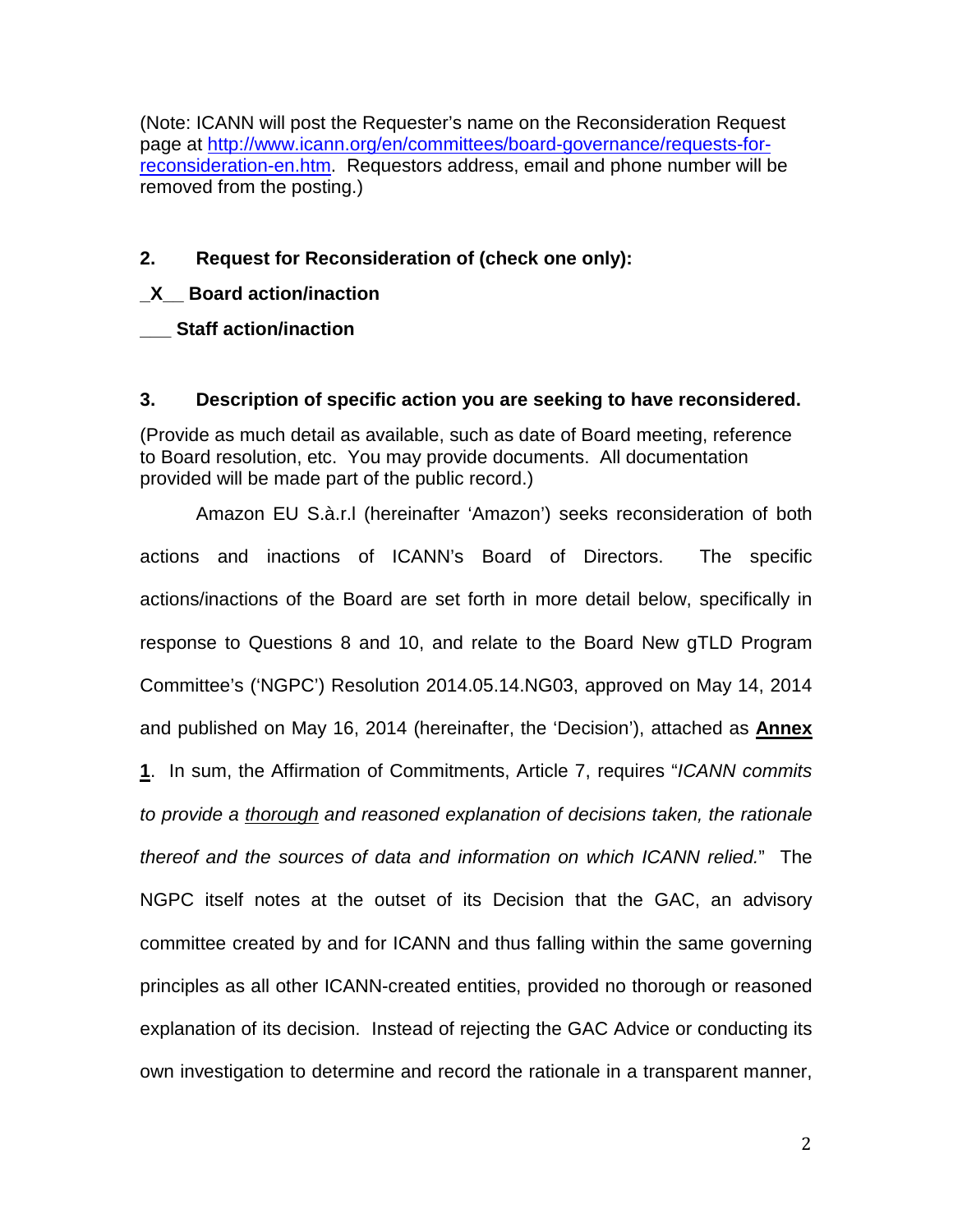(Note: ICANN will post the Requester's name on the Reconsideration Request page at http://www.icann.org/en/committees/board-governance/requests-forreconsideration-en.htm. Requestors address, email and phone number will be removed from the posting.)

## **2. Request for Reconsideration of (check one only):**

## **\_X\_\_ Board action/inaction**

**\_\_\_ Staff action/inaction** 

#### **3. Description of specific action you are seeking to have reconsidered.**

(Provide as much detail as available, such as date of Board meeting, reference to Board resolution, etc. You may provide documents. All documentation provided will be made part of the public record.)

Amazon EU S.à.r.l (hereinafter 'Amazon') seeks reconsideration of both actions and inactions of ICANN's Board of Directors. The specific actions/inactions of the Board are set forth in more detail below, specifically in response to Questions 8 and 10, and relate to the Board New gTLD Program Committee's ('NGPC') Resolution 2014.05.14.NG03, approved on May 14, 2014 and published on May 16, 2014 (hereinafter, the 'Decision'), attached as **Annex 1**. In sum, the Affirmation of Commitments, Article 7, requires "ICANN commits to provide a thorough and reasoned explanation of decisions taken, the rationale thereof and the sources of data and information on which ICANN relied." The NGPC itself notes at the outset of its Decision that the GAC, an advisory committee created by and for ICANN and thus falling within the same governing principles as all other ICANN-created entities, provided no thorough or reasoned explanation of its decision. Instead of rejecting the GAC Advice or conducting its own investigation to determine and record the rationale in a transparent manner,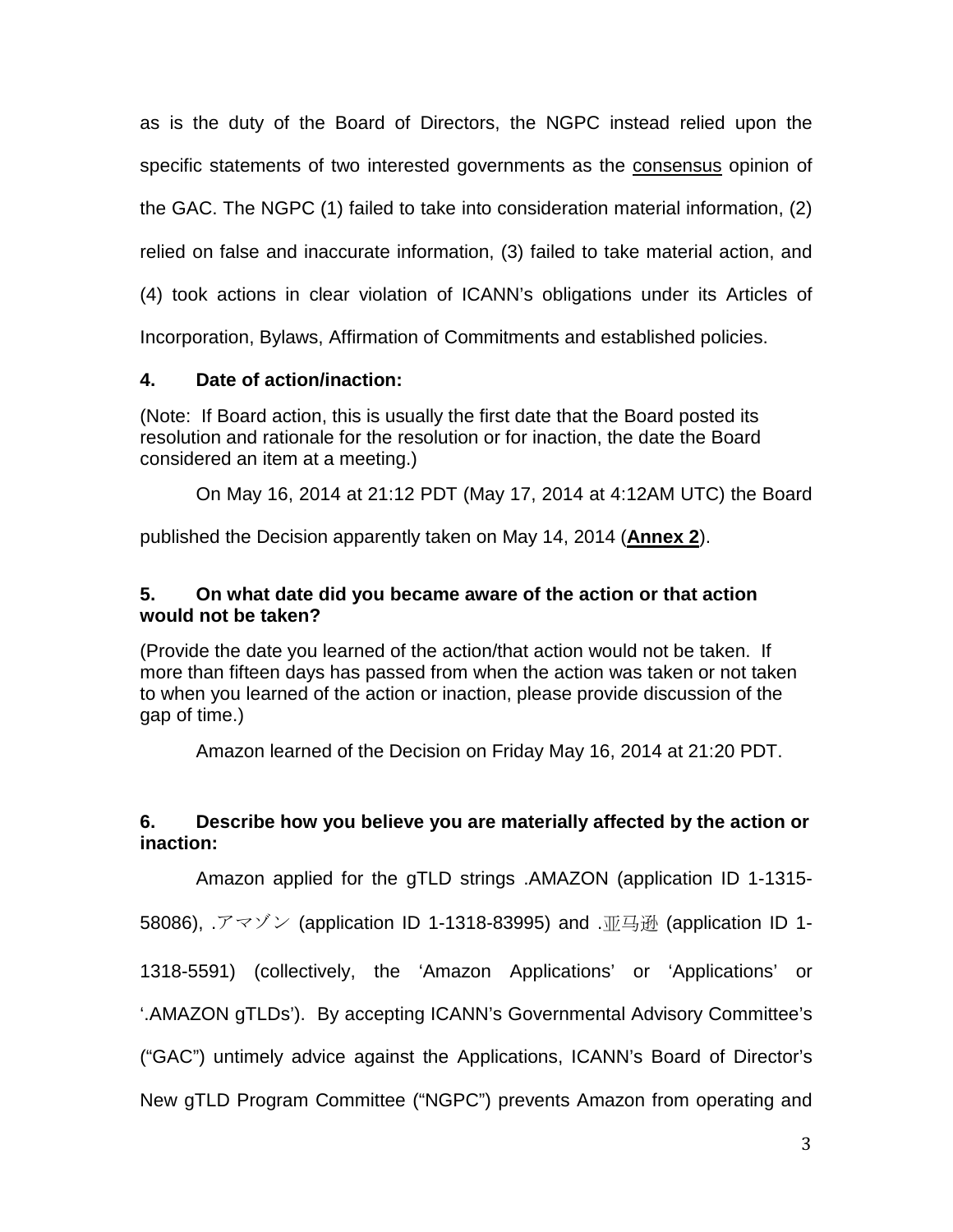as is the duty of the Board of Directors, the NGPC instead relied upon the specific statements of two interested governments as the consensus opinion of the GAC. The NGPC (1) failed to take into consideration material information, (2)

relied on false and inaccurate information, (3) failed to take material action, and

(4) took actions in clear violation of ICANN's obligations under its Articles of

Incorporation, Bylaws, Affirmation of Commitments and established policies.

## **4. Date of action/inaction:**

(Note: If Board action, this is usually the first date that the Board posted its resolution and rationale for the resolution or for inaction, the date the Board considered an item at a meeting.)

On May 16, 2014 at 21:12 PDT (May 17, 2014 at 4:12AM UTC) the Board

published the Decision apparently taken on May 14, 2014 (**Annex 2**).

## **5. On what date did you became aware of the action or that action would not be taken?**

(Provide the date you learned of the action/that action would not be taken. If more than fifteen days has passed from when the action was taken or not taken to when you learned of the action or inaction, please provide discussion of the gap of time.)

Amazon learned of the Decision on Friday May 16, 2014 at 21:20 PDT.

## **6. Describe how you believe you are materially affected by the action or inaction:**

Amazon applied for the gTLD strings .AMAZON (application ID 1-1315-

58086), .アマゾン (application ID 1-1318-83995) and .亚马逊 (application ID 1-

1318-5591) (collectively, the 'Amazon Applications' or 'Applications' or

'.AMAZON gTLDs'). By accepting ICANN's Governmental Advisory Committee's

("GAC") untimely advice against the Applications, ICANN's Board of Director's

New gTLD Program Committee ("NGPC") prevents Amazon from operating and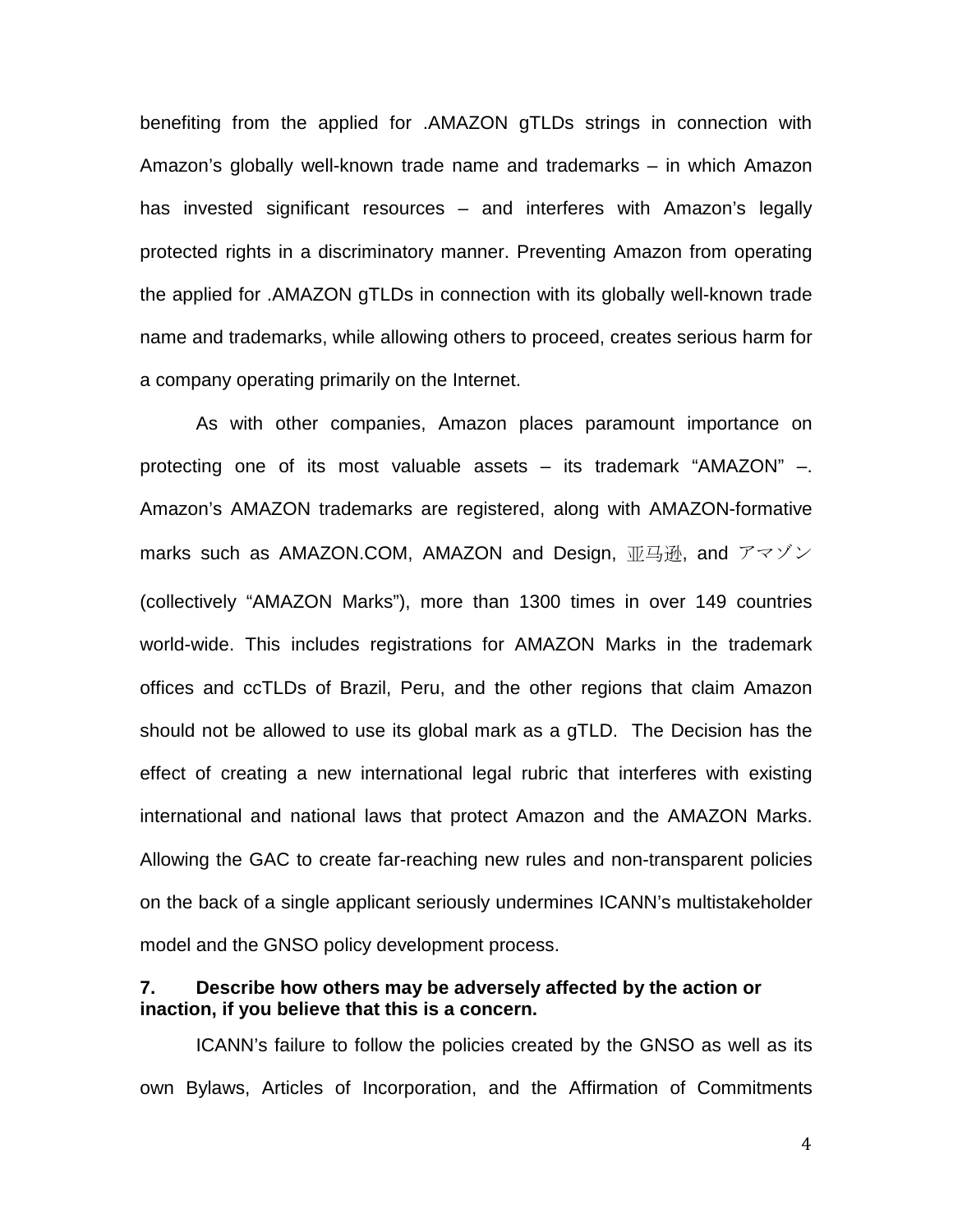benefiting from the applied for .AMAZON gTLDs strings in connection with Amazon's globally well-known trade name and trademarks – in which Amazon has invested significant resources – and interferes with Amazon's legally protected rights in a discriminatory manner. Preventing Amazon from operating the applied for .AMAZON gTLDs in connection with its globally well-known trade name and trademarks, while allowing others to proceed, creates serious harm for a company operating primarily on the Internet.

As with other companies, Amazon places paramount importance on protecting one of its most valuable assets – its trademark "AMAZON" –. Amazon's AMAZON trademarks are registered, along with AMAZON-formative marks such as AMAZON.COM, AMAZON and Design, 亚马逊, and アマゾン (collectively "AMAZON Marks"), more than 1300 times in over 149 countries world-wide. This includes registrations for AMAZON Marks in the trademark offices and ccTLDs of Brazil, Peru, and the other regions that claim Amazon should not be allowed to use its global mark as a gTLD. The Decision has the effect of creating a new international legal rubric that interferes with existing international and national laws that protect Amazon and the AMAZON Marks. Allowing the GAC to create far-reaching new rules and non-transparent policies on the back of a single applicant seriously undermines ICANN's multistakeholder model and the GNSO policy development process.

## **7. Describe how others may be adversely affected by the action or inaction, if you believe that this is a concern.**

ICANN's failure to follow the policies created by the GNSO as well as its own Bylaws, Articles of Incorporation, and the Affirmation of Commitments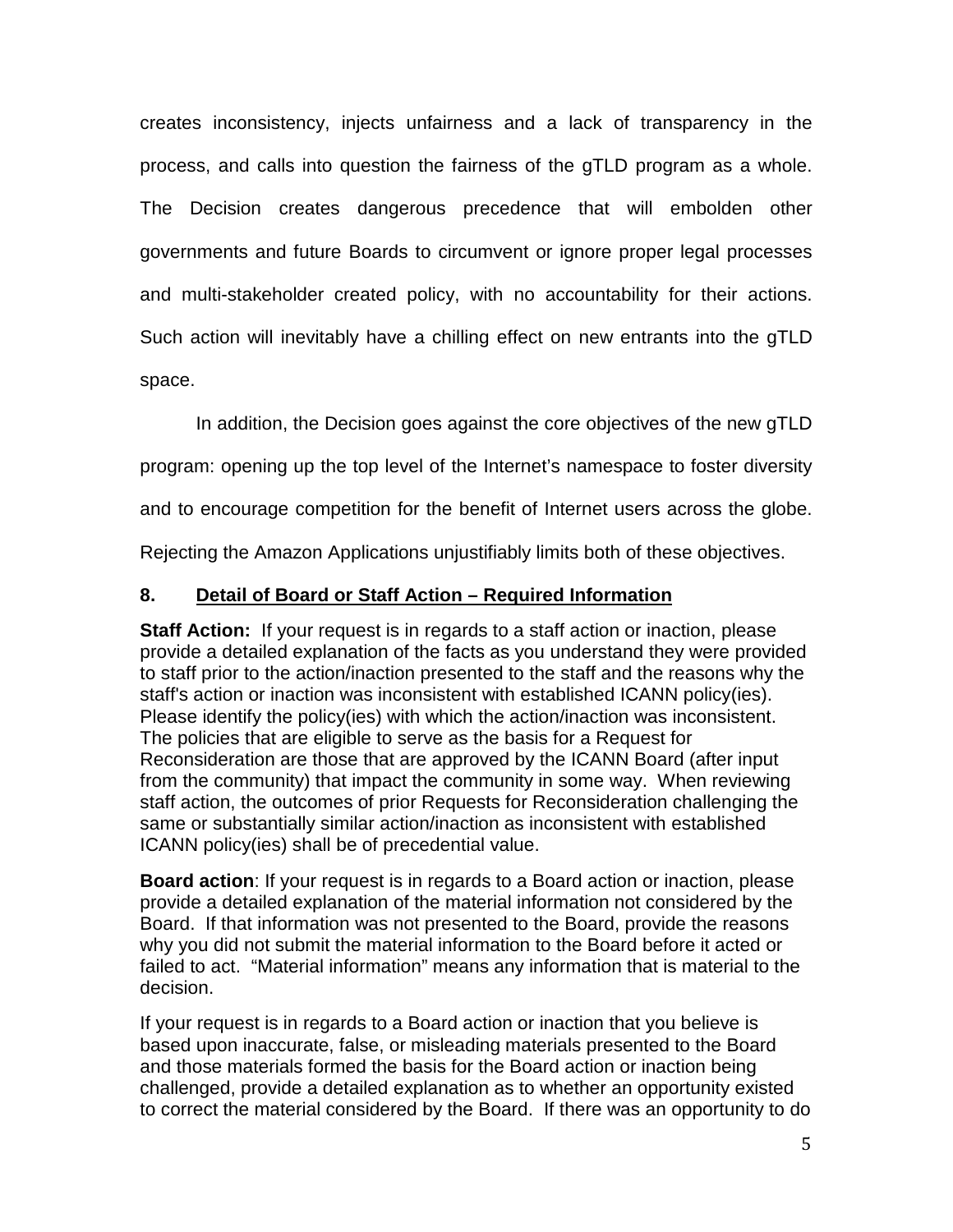creates inconsistency, injects unfairness and a lack of transparency in the process, and calls into question the fairness of the gTLD program as a whole. The Decision creates dangerous precedence that will embolden other governments and future Boards to circumvent or ignore proper legal processes and multi-stakeholder created policy, with no accountability for their actions. Such action will inevitably have a chilling effect on new entrants into the gTLD space.

In addition, the Decision goes against the core objectives of the new gTLD

program: opening up the top level of the Internet's namespace to foster diversity

and to encourage competition for the benefit of Internet users across the globe.

Rejecting the Amazon Applications unjustifiably limits both of these objectives.

## **8. Detail of Board or Staff Action – Required Information**

**Staff Action:** If your request is in regards to a staff action or inaction, please provide a detailed explanation of the facts as you understand they were provided to staff prior to the action/inaction presented to the staff and the reasons why the staff's action or inaction was inconsistent with established ICANN policy(ies). Please identify the policy(ies) with which the action/inaction was inconsistent. The policies that are eligible to serve as the basis for a Request for Reconsideration are those that are approved by the ICANN Board (after input from the community) that impact the community in some way. When reviewing staff action, the outcomes of prior Requests for Reconsideration challenging the same or substantially similar action/inaction as inconsistent with established ICANN policy(ies) shall be of precedential value.

**Board action**: If your request is in regards to a Board action or inaction, please provide a detailed explanation of the material information not considered by the Board. If that information was not presented to the Board, provide the reasons why you did not submit the material information to the Board before it acted or failed to act. "Material information" means any information that is material to the decision.

If your request is in regards to a Board action or inaction that you believe is based upon inaccurate, false, or misleading materials presented to the Board and those materials formed the basis for the Board action or inaction being challenged, provide a detailed explanation as to whether an opportunity existed to correct the material considered by the Board. If there was an opportunity to do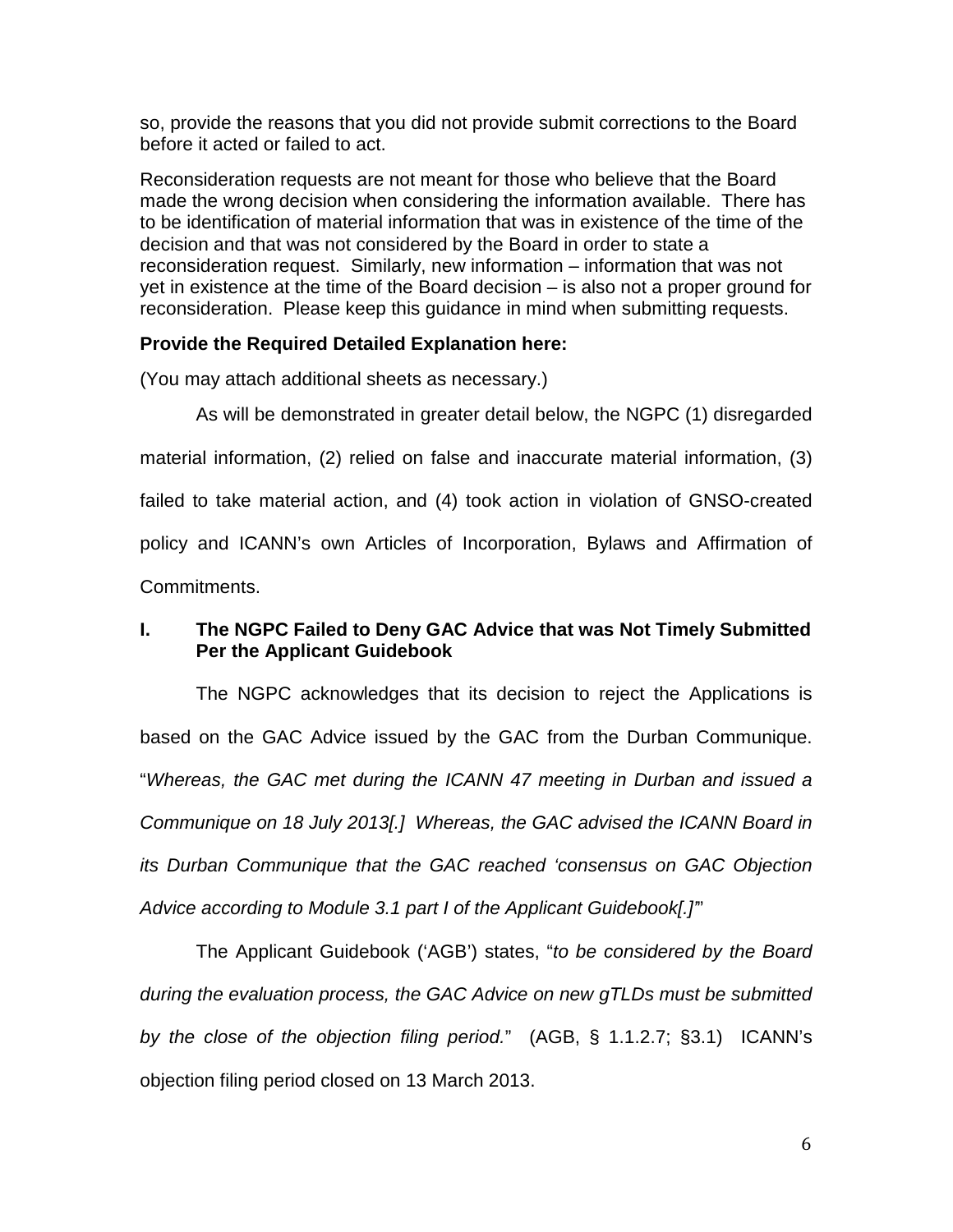so, provide the reasons that you did not provide submit corrections to the Board before it acted or failed to act.

Reconsideration requests are not meant for those who believe that the Board made the wrong decision when considering the information available. There has to be identification of material information that was in existence of the time of the decision and that was not considered by the Board in order to state a reconsideration request. Similarly, new information – information that was not yet in existence at the time of the Board decision – is also not a proper ground for reconsideration. Please keep this guidance in mind when submitting requests.

## **Provide the Required Detailed Explanation here:**

(You may attach additional sheets as necessary.)

As will be demonstrated in greater detail below, the NGPC (1) disregarded material information, (2) relied on false and inaccurate material information, (3) failed to take material action, and (4) took action in violation of GNSO-created policy and ICANN's own Articles of Incorporation, Bylaws and Affirmation of Commitments.

## **I. The NGPC Failed to Deny GAC Advice that was Not Timely Submitted Per the Applicant Guidebook**

The NGPC acknowledges that its decision to reject the Applications is based on the GAC Advice issued by the GAC from the Durban Communique. "Whereas, the GAC met during the ICANN 47 meeting in Durban and issued a Communique on 18 July 2013[.] Whereas, the GAC advised the ICANN Board in its Durban Communique that the GAC reached 'consensus on GAC Objection Advice according to Module 3.1 part I of the Applicant Guidebook[.]'"

The Applicant Guidebook ('AGB') states, "to be considered by the Board during the evaluation process, the GAC Advice on new gTLDs must be submitted by the close of the objection filing period." (AGB, § 1.1.2.7; §3.1) ICANN's objection filing period closed on 13 March 2013.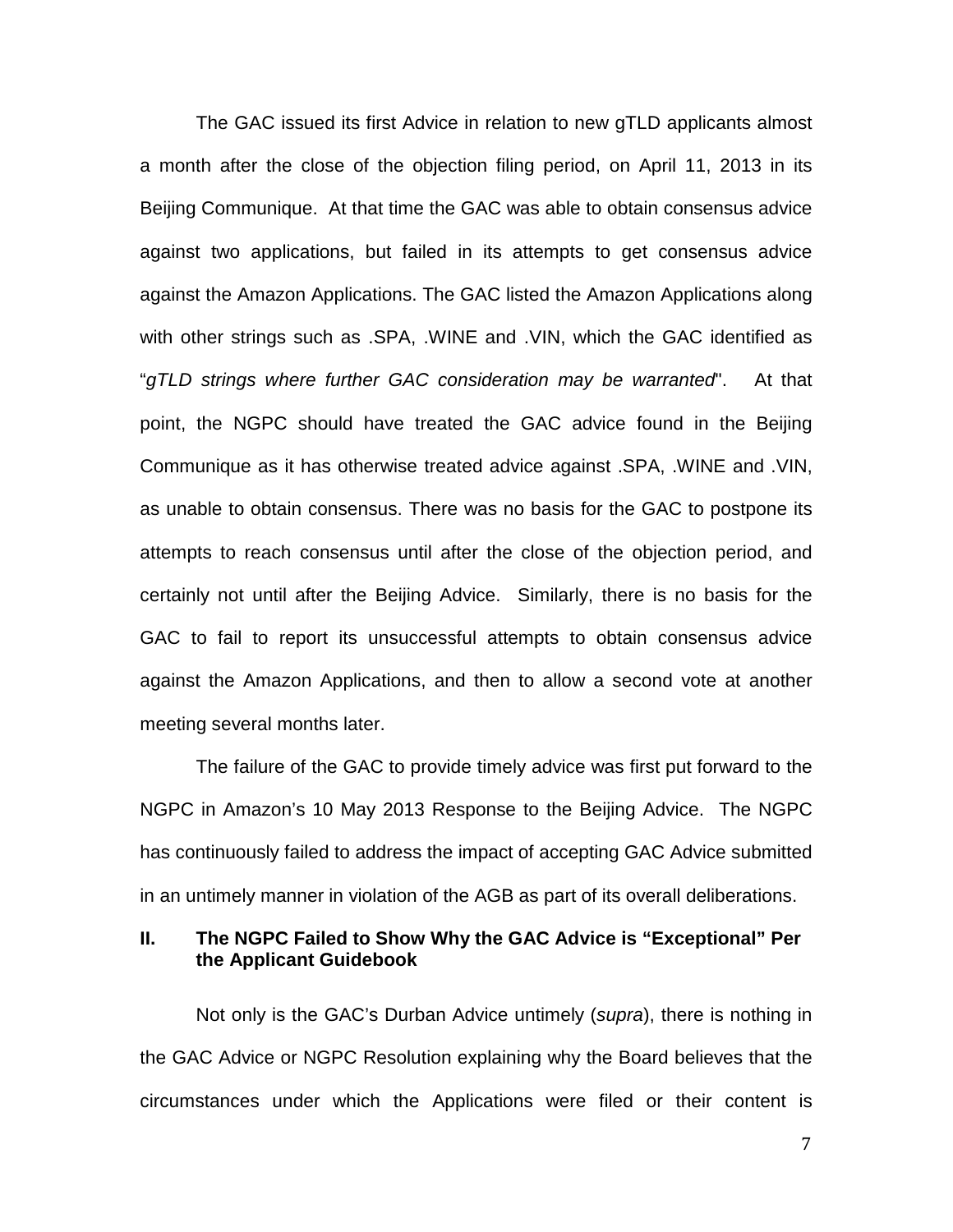The GAC issued its first Advice in relation to new gTLD applicants almost a month after the close of the objection filing period, on April 11, 2013 in its Beijing Communique. At that time the GAC was able to obtain consensus advice against two applications, but failed in its attempts to get consensus advice against the Amazon Applications. The GAC listed the Amazon Applications along with other strings such as .SPA, .WINE and .VIN, which the GAC identified as "gTLD strings where further GAC consideration may be warranted". At that point, the NGPC should have treated the GAC advice found in the Beijing Communique as it has otherwise treated advice against .SPA, .WINE and .VIN, as unable to obtain consensus. There was no basis for the GAC to postpone its attempts to reach consensus until after the close of the objection period, and certainly not until after the Beijing Advice. Similarly, there is no basis for the GAC to fail to report its unsuccessful attempts to obtain consensus advice against the Amazon Applications, and then to allow a second vote at another meeting several months later.

The failure of the GAC to provide timely advice was first put forward to the NGPC in Amazon's 10 May 2013 Response to the Beijing Advice. The NGPC has continuously failed to address the impact of accepting GAC Advice submitted in an untimely manner in violation of the AGB as part of its overall deliberations.

#### **II. The NGPC Failed to Show Why the GAC Advice is "Exceptional" Per the Applicant Guidebook**

Not only is the GAC's Durban Advice untimely (supra), there is nothing in the GAC Advice or NGPC Resolution explaining why the Board believes that the circumstances under which the Applications were filed or their content is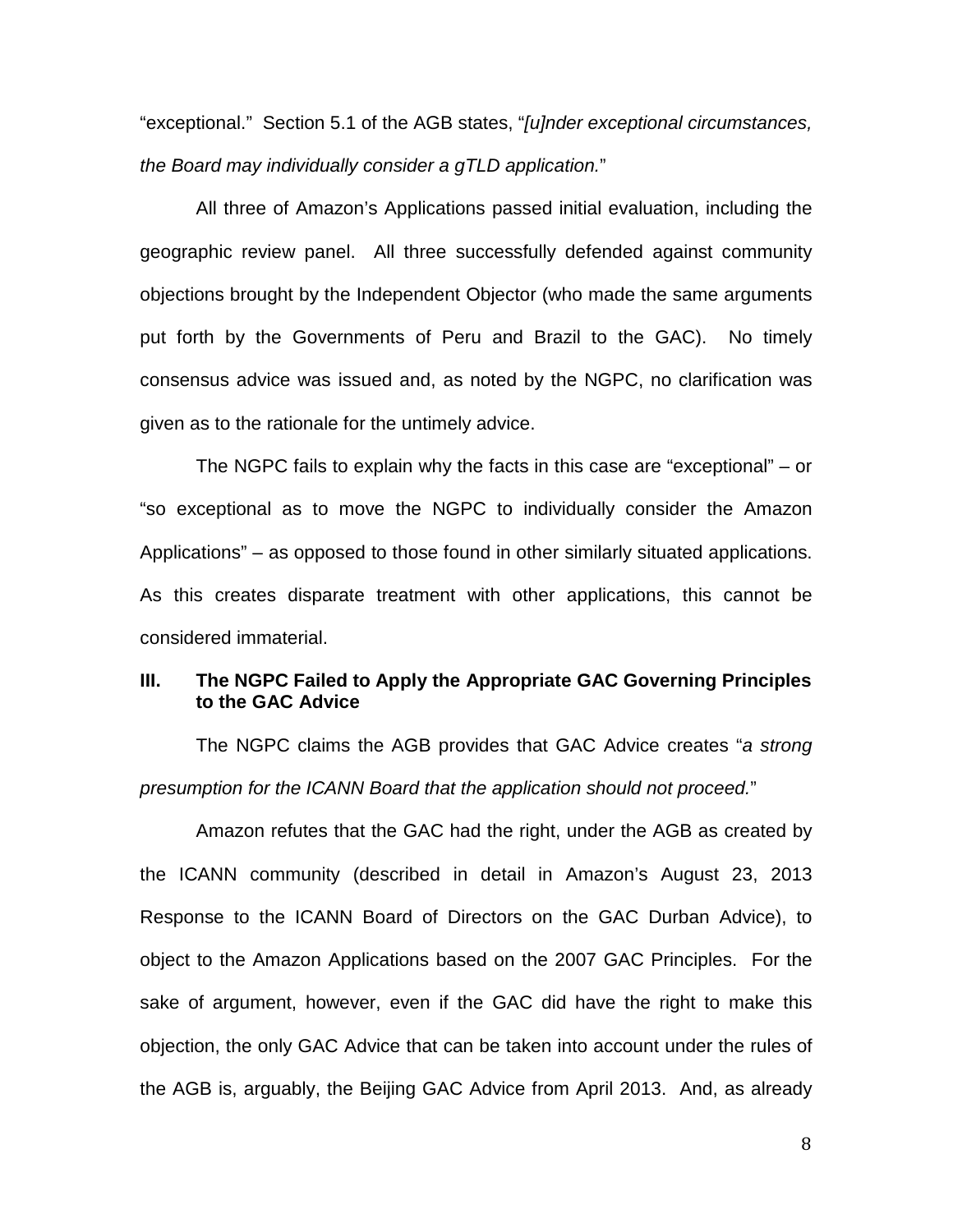"exceptional." Section 5.1 of the AGB states, "[u]nder exceptional circumstances, the Board may individually consider a gTLD application."

All three of Amazon's Applications passed initial evaluation, including the geographic review panel. All three successfully defended against community objections brought by the Independent Objector (who made the same arguments put forth by the Governments of Peru and Brazil to the GAC). No timely consensus advice was issued and, as noted by the NGPC, no clarification was given as to the rationale for the untimely advice.

The NGPC fails to explain why the facts in this case are "exceptional" – or "so exceptional as to move the NGPC to individually consider the Amazon Applications" – as opposed to those found in other similarly situated applications. As this creates disparate treatment with other applications, this cannot be considered immaterial.

## **III. The NGPC Failed to Apply the Appropriate GAC Governing Principles to the GAC Advice**

The NGPC claims the AGB provides that GAC Advice creates "a strong presumption for the ICANN Board that the application should not proceed."

Amazon refutes that the GAC had the right, under the AGB as created by the ICANN community (described in detail in Amazon's August 23, 2013 Response to the ICANN Board of Directors on the GAC Durban Advice), to object to the Amazon Applications based on the 2007 GAC Principles. For the sake of argument, however, even if the GAC did have the right to make this objection, the only GAC Advice that can be taken into account under the rules of the AGB is, arguably, the Beijing GAC Advice from April 2013. And, as already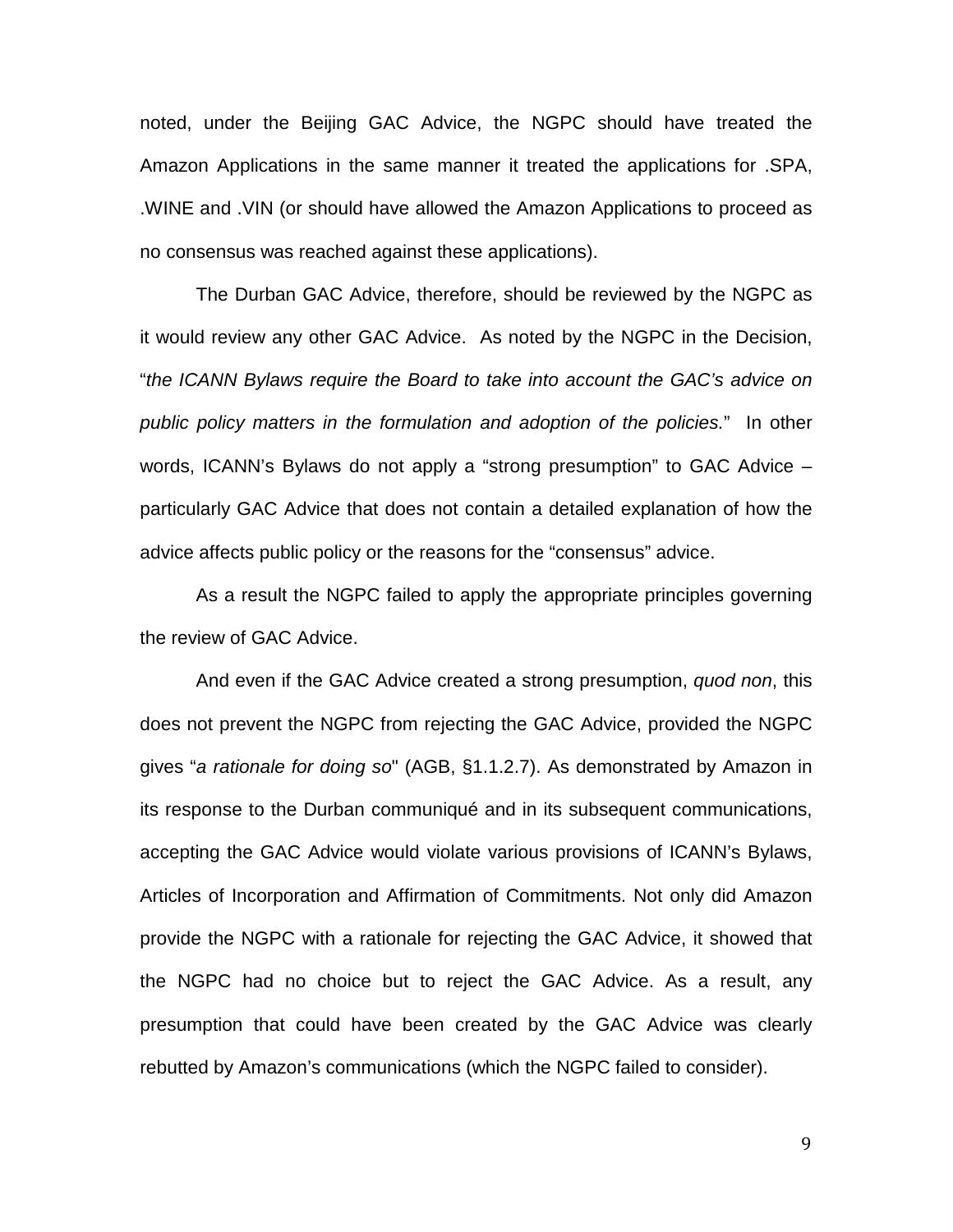noted, under the Beijing GAC Advice, the NGPC should have treated the Amazon Applications in the same manner it treated the applications for .SPA, .WINE and .VIN (or should have allowed the Amazon Applications to proceed as no consensus was reached against these applications).

The Durban GAC Advice, therefore, should be reviewed by the NGPC as it would review any other GAC Advice. As noted by the NGPC in the Decision, "the ICANN Bylaws require the Board to take into account the GAC's advice on public policy matters in the formulation and adoption of the policies." In other words, ICANN's Bylaws do not apply a "strong presumption" to GAC Advice – particularly GAC Advice that does not contain a detailed explanation of how the advice affects public policy or the reasons for the "consensus" advice.

As a result the NGPC failed to apply the appropriate principles governing the review of GAC Advice.

And even if the GAC Advice created a strong presumption, quod non, this does not prevent the NGPC from rejecting the GAC Advice, provided the NGPC gives "a rationale for doing so" (AGB, §1.1.2.7). As demonstrated by Amazon in its response to the Durban communiqué and in its subsequent communications, accepting the GAC Advice would violate various provisions of ICANN's Bylaws, Articles of Incorporation and Affirmation of Commitments. Not only did Amazon provide the NGPC with a rationale for rejecting the GAC Advice, it showed that the NGPC had no choice but to reject the GAC Advice. As a result, any presumption that could have been created by the GAC Advice was clearly rebutted by Amazon's communications (which the NGPC failed to consider).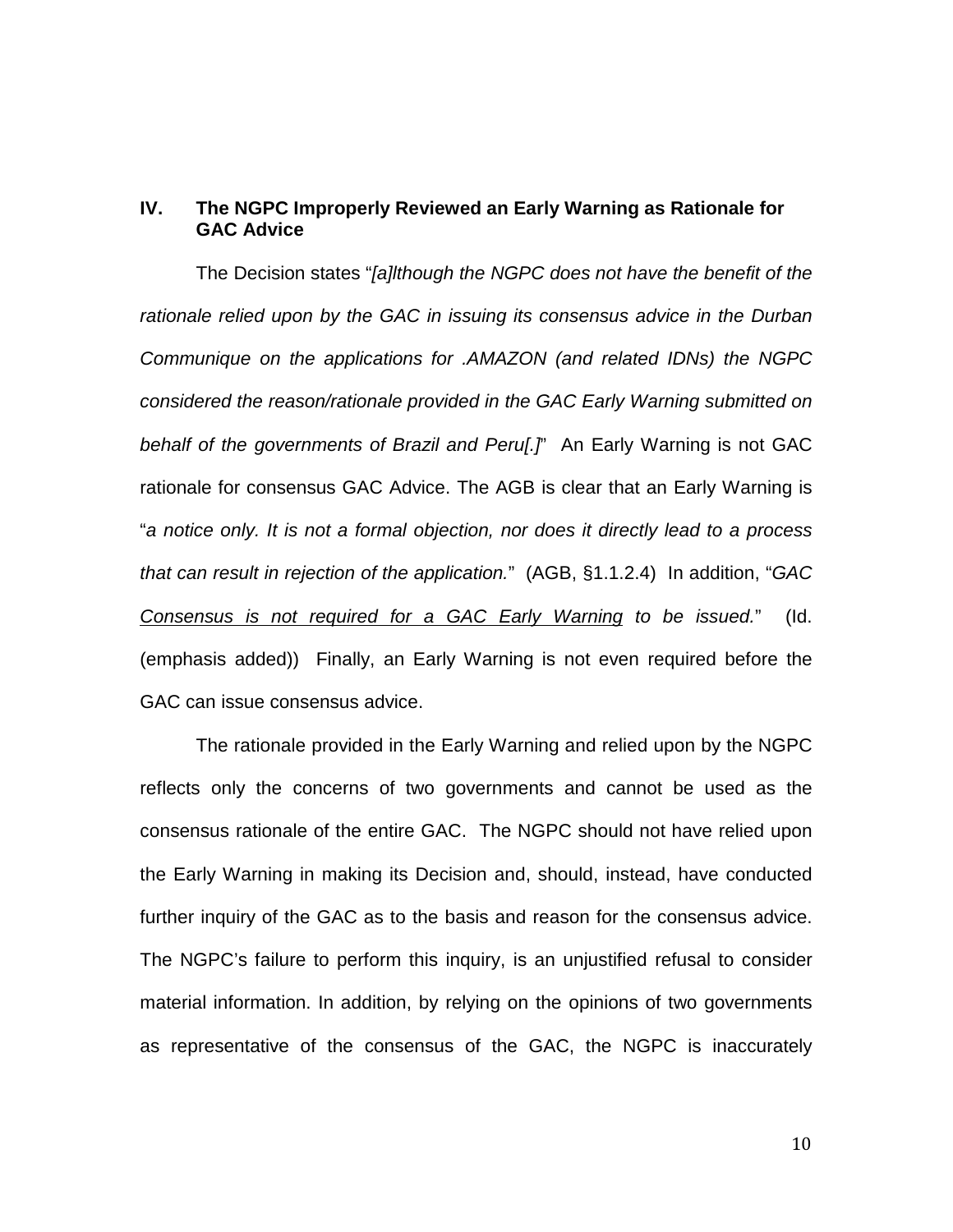## **IV. The NGPC Improperly Reviewed an Early Warning as Rationale for GAC Advice**

The Decision states "[a]lthough the NGPC does not have the benefit of the rationale relied upon by the GAC in issuing its consensus advice in the Durban Communique on the applications for .AMAZON (and related IDNs) the NGPC considered the reason/rationale provided in the GAC Early Warning submitted on behalf of the governments of Brazil and Perul.<sup>"</sup> An Early Warning is not GAC rationale for consensus GAC Advice. The AGB is clear that an Early Warning is "a notice only. It is not a formal objection, nor does it directly lead to a process that can result in rejection of the application." (AGB, §1.1.2.4) In addition, "GAC Consensus is not required for a GAC Early Warning to be issued." (Id. (emphasis added)) Finally, an Early Warning is not even required before the GAC can issue consensus advice.

The rationale provided in the Early Warning and relied upon by the NGPC reflects only the concerns of two governments and cannot be used as the consensus rationale of the entire GAC. The NGPC should not have relied upon the Early Warning in making its Decision and, should, instead, have conducted further inquiry of the GAC as to the basis and reason for the consensus advice. The NGPC's failure to perform this inquiry, is an unjustified refusal to consider material information. In addition, by relying on the opinions of two governments as representative of the consensus of the GAC, the NGPC is inaccurately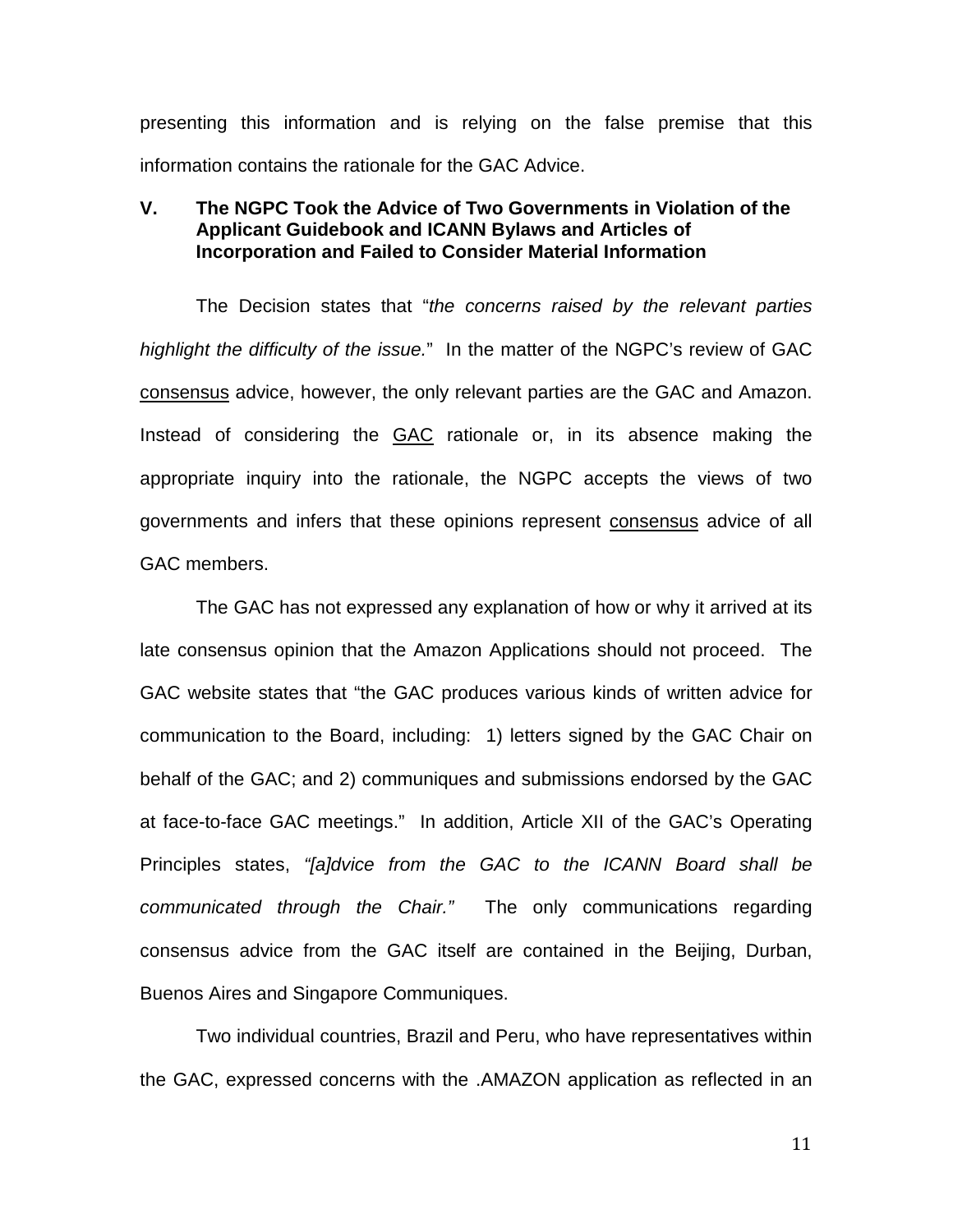presenting this information and is relying on the false premise that this information contains the rationale for the GAC Advice.

### **V. The NGPC Took the Advice of Two Governments in Violation of the Applicant Guidebook and ICANN Bylaws and Articles of Incorporation and Failed to Consider Material Information**

The Decision states that "the concerns raised by the relevant parties highlight the difficulty of the issue." In the matter of the NGPC's review of GAC consensus advice, however, the only relevant parties are the GAC and Amazon. Instead of considering the GAC rationale or, in its absence making the appropriate inquiry into the rationale, the NGPC accepts the views of two governments and infers that these opinions represent consensus advice of all GAC members.

The GAC has not expressed any explanation of how or why it arrived at its late consensus opinion that the Amazon Applications should not proceed. The GAC website states that "the GAC produces various kinds of written advice for communication to the Board, including: 1) letters signed by the GAC Chair on behalf of the GAC; and 2) communiques and submissions endorsed by the GAC at face-to-face GAC meetings." In addition, Article XII of the GAC's Operating Principles states, "[a]dvice from the GAC to the ICANN Board shall be communicated through the Chair." The only communications regarding consensus advice from the GAC itself are contained in the Beijing, Durban, Buenos Aires and Singapore Communiques.

Two individual countries, Brazil and Peru, who have representatives within the GAC, expressed concerns with the .AMAZON application as reflected in an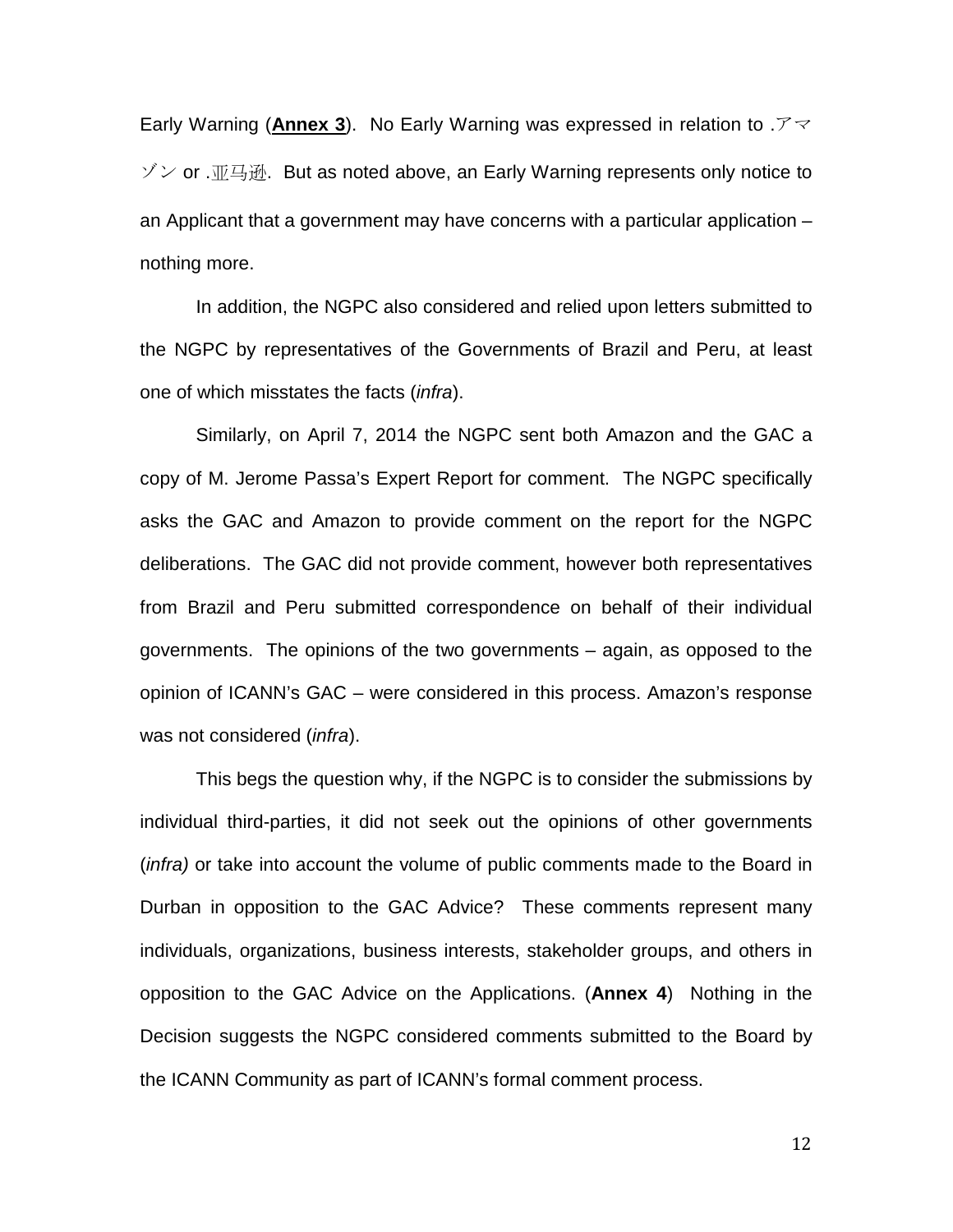Early Warning (**Annex 3**). No Early Warning was expressed in relation to .アマ  $\check{y}$  or . $\mathbb{Z}$ 马逊. But as noted above, an Early Warning represents only notice to an Applicant that a government may have concerns with a particular application – nothing more.

In addition, the NGPC also considered and relied upon letters submitted to the NGPC by representatives of the Governments of Brazil and Peru, at least one of which misstates the facts (*infra*).

Similarly, on April 7, 2014 the NGPC sent both Amazon and the GAC a copy of M. Jerome Passa's Expert Report for comment. The NGPC specifically asks the GAC and Amazon to provide comment on the report for the NGPC deliberations. The GAC did not provide comment, however both representatives from Brazil and Peru submitted correspondence on behalf of their individual governments. The opinions of the two governments – again, as opposed to the opinion of ICANN's GAC – were considered in this process. Amazon's response was not considered (infra).

This begs the question why, if the NGPC is to consider the submissions by individual third-parties, it did not seek out the opinions of other governments (infra) or take into account the volume of public comments made to the Board in Durban in opposition to the GAC Advice? These comments represent many individuals, organizations, business interests, stakeholder groups, and others in opposition to the GAC Advice on the Applications. (**Annex 4**) Nothing in the Decision suggests the NGPC considered comments submitted to the Board by the ICANN Community as part of ICANN's formal comment process.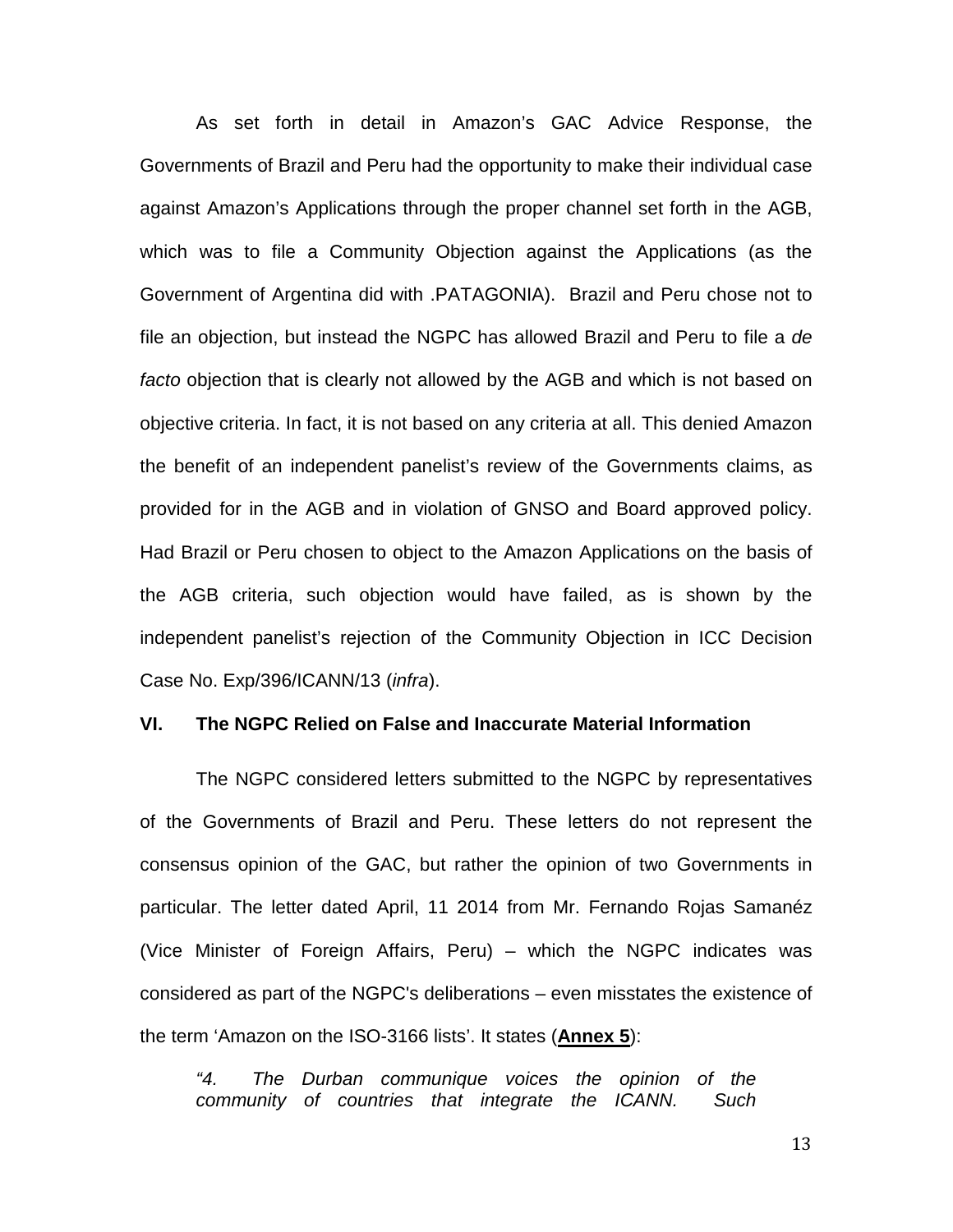As set forth in detail in Amazon's GAC Advice Response, the Governments of Brazil and Peru had the opportunity to make their individual case against Amazon's Applications through the proper channel set forth in the AGB, which was to file a Community Objection against the Applications (as the Government of Argentina did with .PATAGONIA). Brazil and Peru chose not to file an objection, but instead the NGPC has allowed Brazil and Peru to file a de facto objection that is clearly not allowed by the AGB and which is not based on objective criteria. In fact, it is not based on any criteria at all. This denied Amazon the benefit of an independent panelist's review of the Governments claims, as provided for in the AGB and in violation of GNSO and Board approved policy. Had Brazil or Peru chosen to object to the Amazon Applications on the basis of the AGB criteria, such objection would have failed, as is shown by the independent panelist's rejection of the Community Objection in ICC Decision Case No. Exp/396/ICANN/13 (infra).

#### **VI. The NGPC Relied on False and Inaccurate Material Information**

The NGPC considered letters submitted to the NGPC by representatives of the Governments of Brazil and Peru. These letters do not represent the consensus opinion of the GAC, but rather the opinion of two Governments in particular. The letter dated April, 11 2014 from Mr. Fernando Rojas Samanéz (Vice Minister of Foreign Affairs, Peru) – which the NGPC indicates was considered as part of the NGPC's deliberations – even misstates the existence of the term 'Amazon on the ISO-3166 lists'. It states (**Annex 5**):

"4. The Durban communique voices the opinion of the community of countries that integrate the ICANN. Such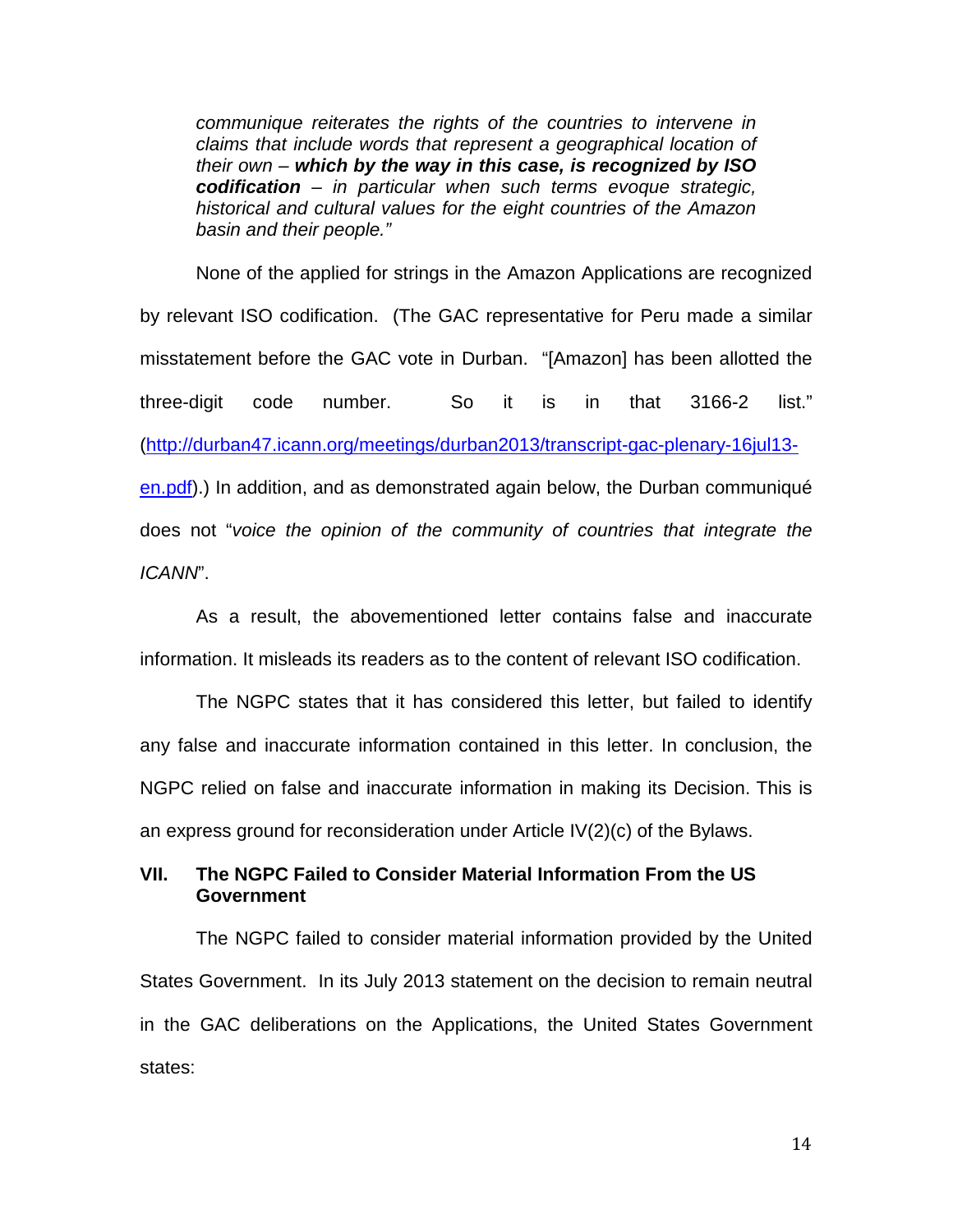communique reiterates the rights of the countries to intervene in claims that include words that represent a geographical location of their own – **which by the way in this case, is recognized by ISO codification** – in particular when such terms evoque strategic, historical and cultural values for the eight countries of the Amazon basin and their people."

None of the applied for strings in the Amazon Applications are recognized by relevant ISO codification. (The GAC representative for Peru made a similar misstatement before the GAC vote in Durban. "[Amazon] has been allotted the three-digit code number. So it is in that 3166-2 list." (http://durban47.icann.org/meetings/durban2013/transcript-gac-plenary-16jul13 en.pdf).) In addition, and as demonstrated again below, the Durban communiqué does not "voice the opinion of the community of countries that integrate the ICANN".

As a result, the abovementioned letter contains false and inaccurate information. It misleads its readers as to the content of relevant ISO codification.

The NGPC states that it has considered this letter, but failed to identify any false and inaccurate information contained in this letter. In conclusion, the NGPC relied on false and inaccurate information in making its Decision. This is an express ground for reconsideration under Article IV(2)(c) of the Bylaws.

**VII. The NGPC Failed to Consider Material Information From the US Government** 

The NGPC failed to consider material information provided by the United States Government. In its July 2013 statement on the decision to remain neutral in the GAC deliberations on the Applications, the United States Government states: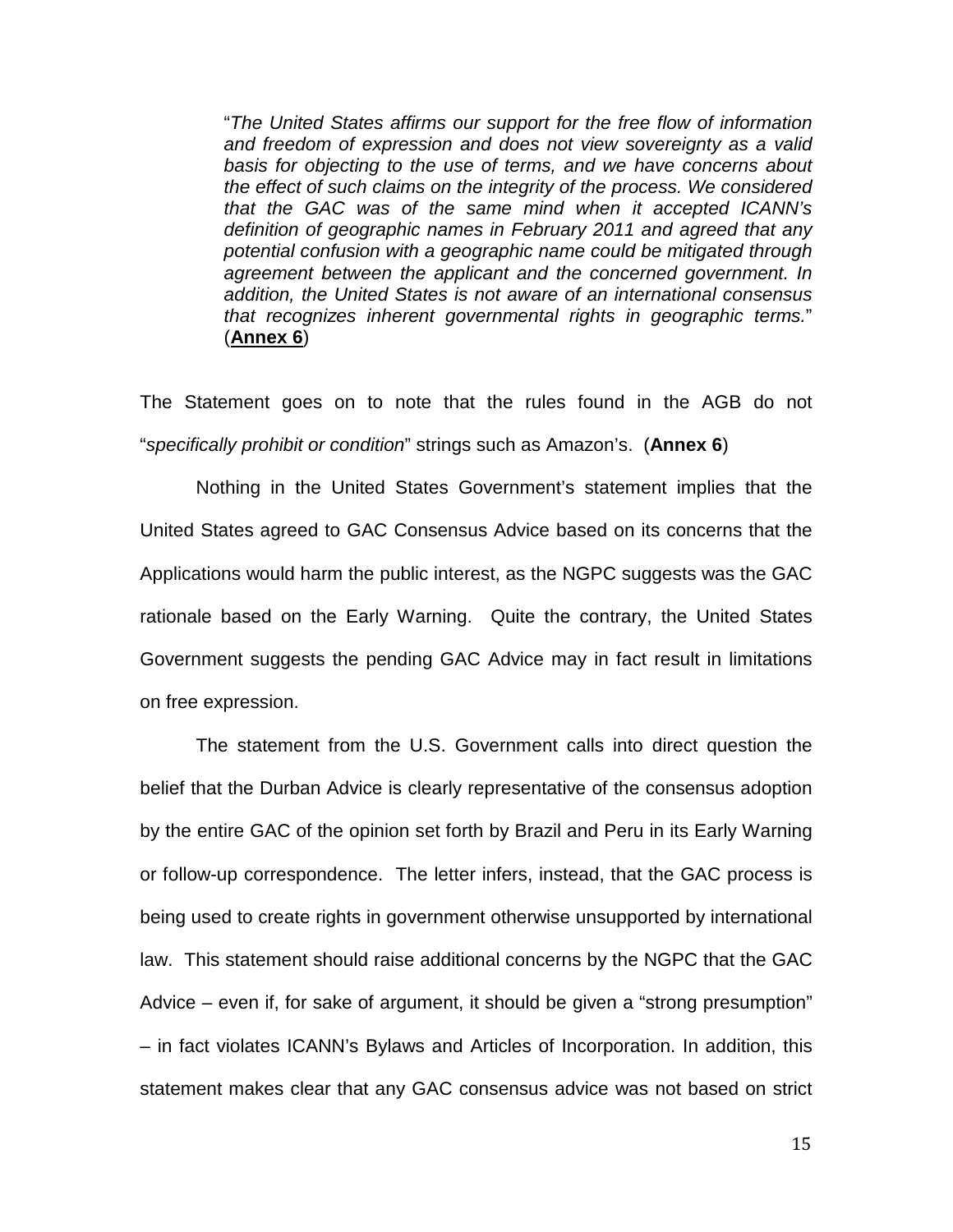"The United States affirms our support for the free flow of information and freedom of expression and does not view sovereignty as a valid basis for objecting to the use of terms, and we have concerns about the effect of such claims on the integrity of the process. We considered that the GAC was of the same mind when it accepted ICANN's definition of geographic names in February 2011 and agreed that any potential confusion with a geographic name could be mitigated through agreement between the applicant and the concerned government. In addition, the United States is not aware of an international consensus that recognizes inherent governmental rights in geographic terms." (**Annex 6**)

The Statement goes on to note that the rules found in the AGB do not "specifically prohibit or condition" strings such as Amazon's. (**Annex 6**)

Nothing in the United States Government's statement implies that the United States agreed to GAC Consensus Advice based on its concerns that the Applications would harm the public interest, as the NGPC suggests was the GAC rationale based on the Early Warning. Quite the contrary, the United States Government suggests the pending GAC Advice may in fact result in limitations on free expression.

The statement from the U.S. Government calls into direct question the belief that the Durban Advice is clearly representative of the consensus adoption by the entire GAC of the opinion set forth by Brazil and Peru in its Early Warning or follow-up correspondence. The letter infers, instead, that the GAC process is being used to create rights in government otherwise unsupported by international law. This statement should raise additional concerns by the NGPC that the GAC Advice – even if, for sake of argument, it should be given a "strong presumption" – in fact violates ICANN's Bylaws and Articles of Incorporation. In addition, this statement makes clear that any GAC consensus advice was not based on strict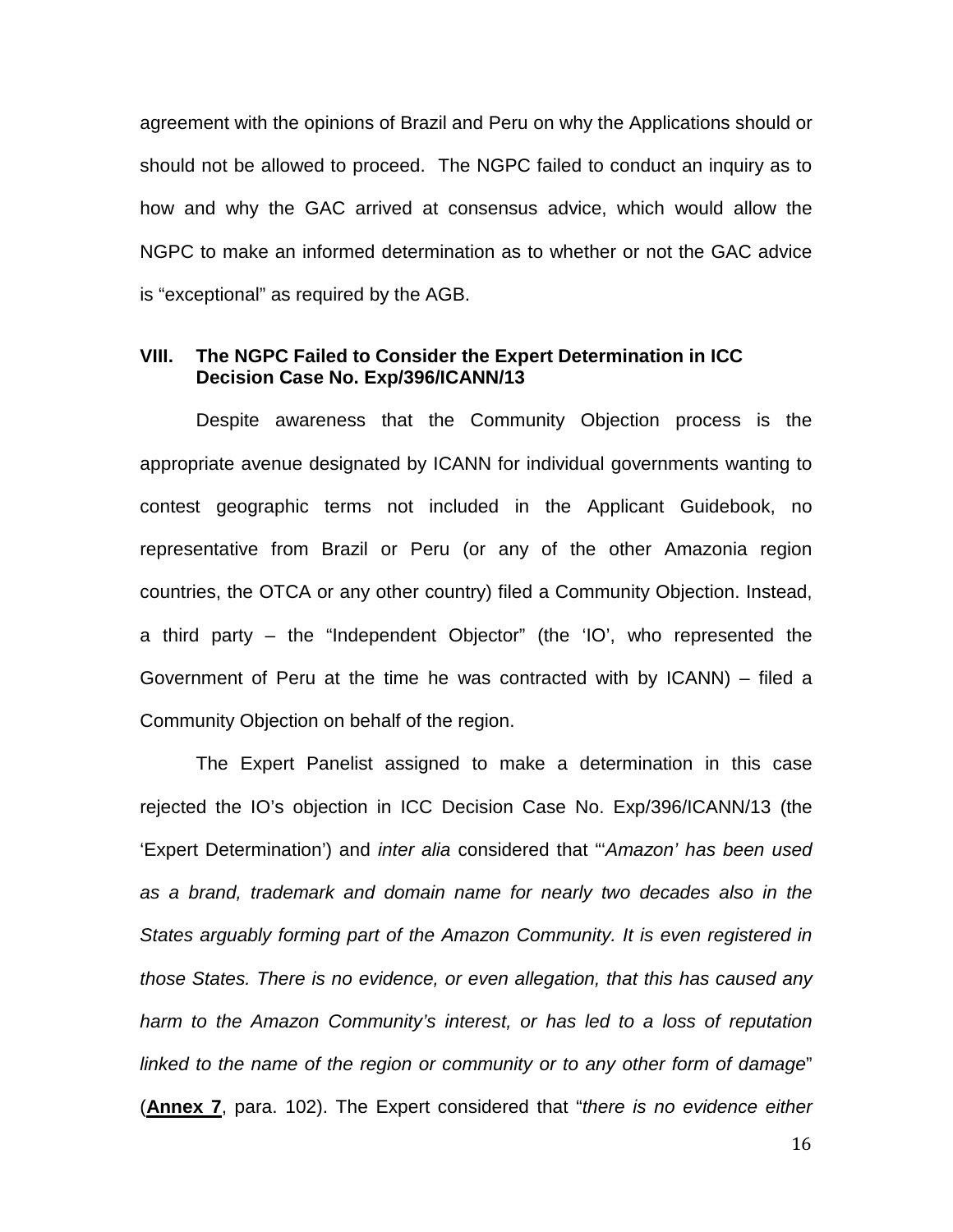agreement with the opinions of Brazil and Peru on why the Applications should or should not be allowed to proceed. The NGPC failed to conduct an inquiry as to how and why the GAC arrived at consensus advice, which would allow the NGPC to make an informed determination as to whether or not the GAC advice is "exceptional" as required by the AGB.

#### **VIII. The NGPC Failed to Consider the Expert Determination in ICC Decision Case No. Exp/396/ICANN/13**

Despite awareness that the Community Objection process is the appropriate avenue designated by ICANN for individual governments wanting to contest geographic terms not included in the Applicant Guidebook, no representative from Brazil or Peru (or any of the other Amazonia region countries, the OTCA or any other country) filed a Community Objection. Instead, a third party – the "Independent Objector" (the 'IO', who represented the Government of Peru at the time he was contracted with by ICANN) – filed a Community Objection on behalf of the region.

The Expert Panelist assigned to make a determination in this case rejected the IO's objection in ICC Decision Case No. Exp/396/ICANN/13 (the 'Expert Determination') and inter alia considered that "'Amazon' has been used as a brand, trademark and domain name for nearly two decades also in the States arguably forming part of the Amazon Community. It is even registered in those States. There is no evidence, or even allegation, that this has caused any harm to the Amazon Community's interest, or has led to a loss of reputation linked to the name of the region or community or to any other form of damage" (**Annex 7**, para. 102). The Expert considered that "there is no evidence either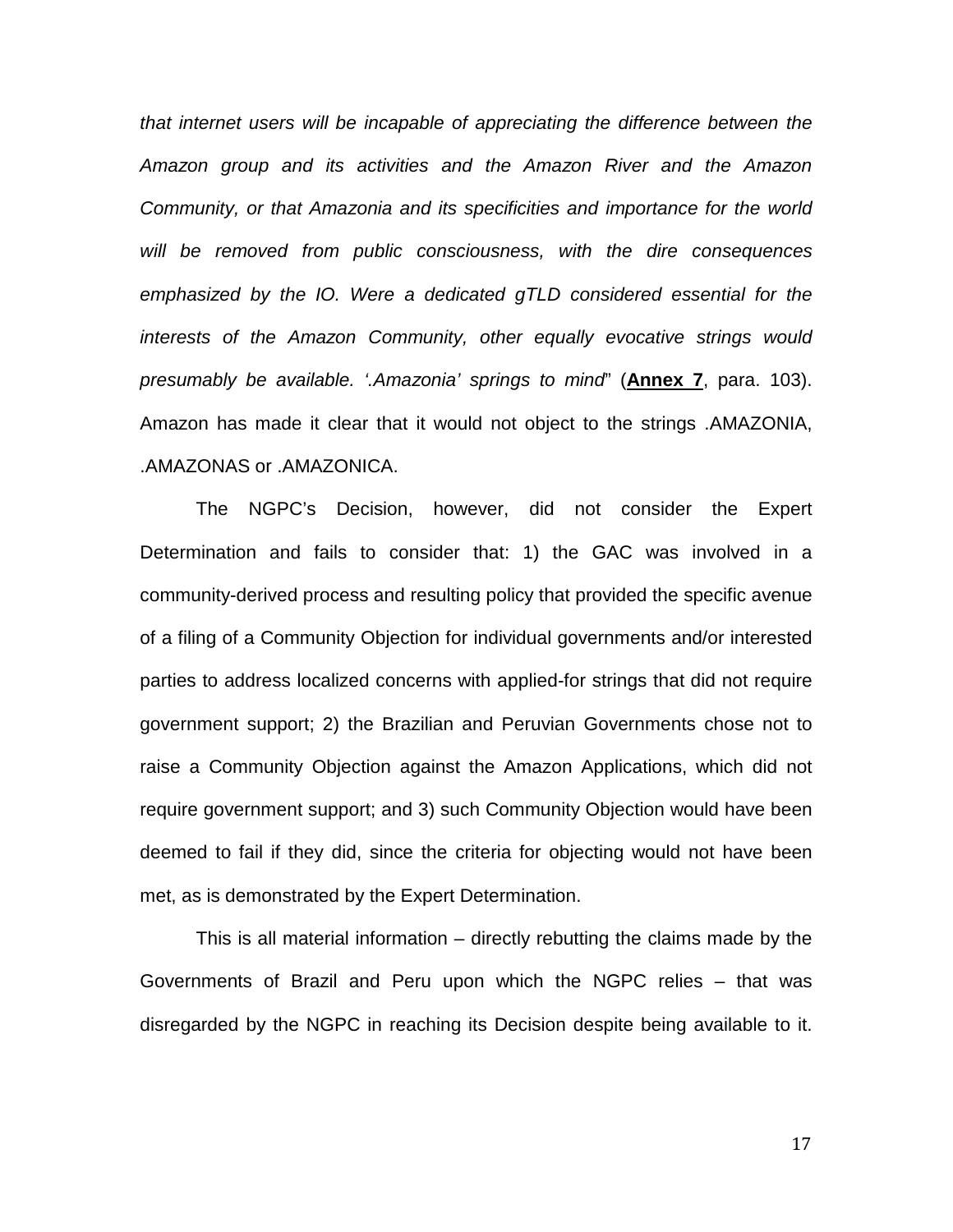that internet users will be incapable of appreciating the difference between the Amazon group and its activities and the Amazon River and the Amazon Community, or that Amazonia and its specificities and importance for the world will be removed from public consciousness, with the dire consequences emphasized by the IO. Were a dedicated gTLD considered essential for the interests of the Amazon Community, other equally evocative strings would presumably be available. '.Amazonia' springs to mind" (**Annex 7**, para. 103). Amazon has made it clear that it would not object to the strings .AMAZONIA, .AMAZONAS or .AMAZONICA.

The NGPC's Decision, however, did not consider the Expert Determination and fails to consider that: 1) the GAC was involved in a community-derived process and resulting policy that provided the specific avenue of a filing of a Community Objection for individual governments and/or interested parties to address localized concerns with applied-for strings that did not require government support; 2) the Brazilian and Peruvian Governments chose not to raise a Community Objection against the Amazon Applications, which did not require government support; and 3) such Community Objection would have been deemed to fail if they did, since the criteria for objecting would not have been met, as is demonstrated by the Expert Determination.

This is all material information – directly rebutting the claims made by the Governments of Brazil and Peru upon which the NGPC relies – that was disregarded by the NGPC in reaching its Decision despite being available to it.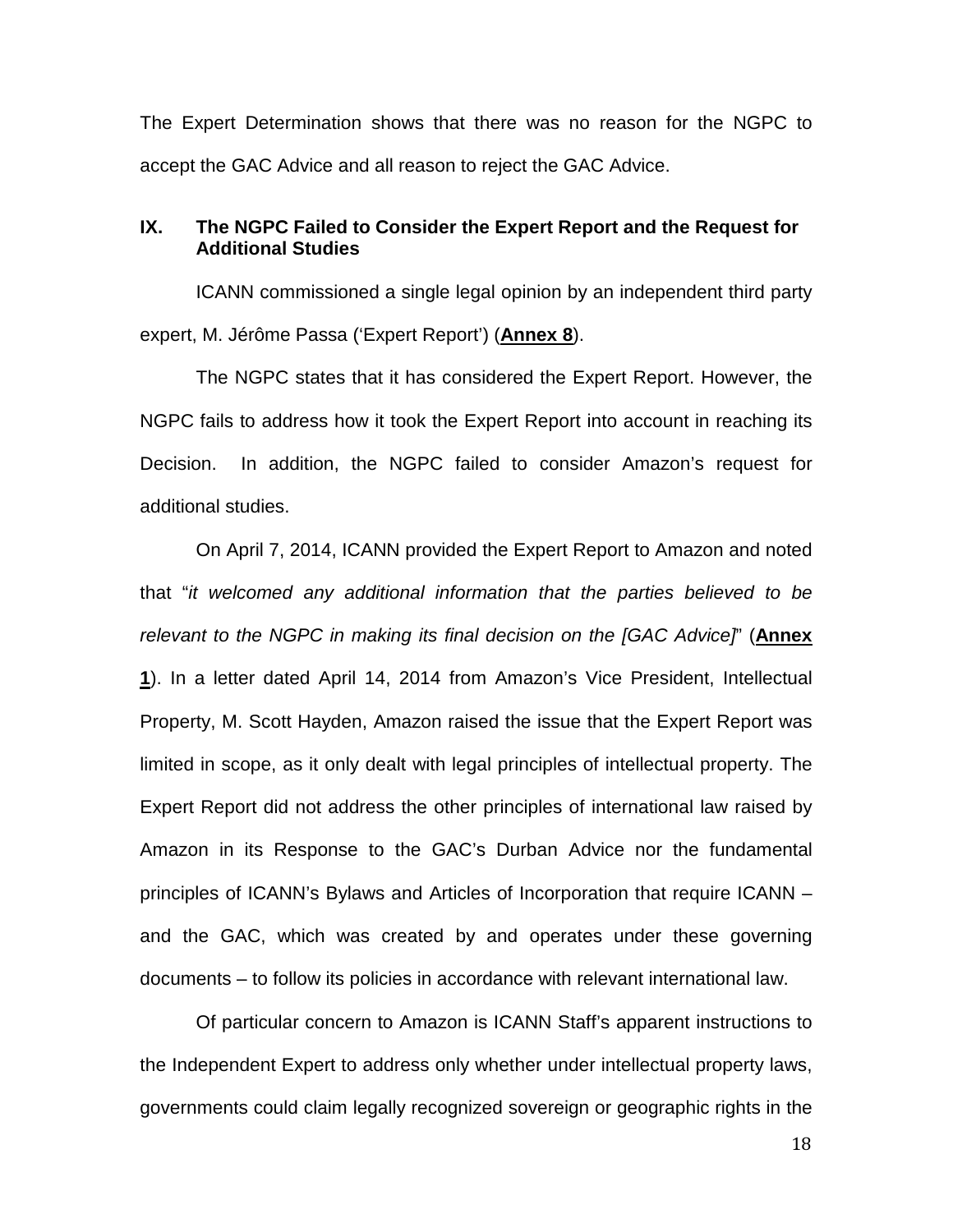The Expert Determination shows that there was no reason for the NGPC to accept the GAC Advice and all reason to reject the GAC Advice.

#### **IX. The NGPC Failed to Consider the Expert Report and the Request for Additional Studies**

ICANN commissioned a single legal opinion by an independent third party expert, M. Jérôme Passa ('Expert Report') (**Annex 8**).

The NGPC states that it has considered the Expert Report. However, the NGPC fails to address how it took the Expert Report into account in reaching its Decision. In addition, the NGPC failed to consider Amazon's request for additional studies.

On April 7, 2014, ICANN provided the Expert Report to Amazon and noted that "it welcomed any additional information that the parties believed to be relevant to the NGPC in making its final decision on the [GAC Advice]" (**Annex 1**). In a letter dated April 14, 2014 from Amazon's Vice President, Intellectual Property, M. Scott Hayden, Amazon raised the issue that the Expert Report was limited in scope, as it only dealt with legal principles of intellectual property. The Expert Report did not address the other principles of international law raised by Amazon in its Response to the GAC's Durban Advice nor the fundamental principles of ICANN's Bylaws and Articles of Incorporation that require ICANN – and the GAC, which was created by and operates under these governing documents – to follow its policies in accordance with relevant international law.

Of particular concern to Amazon is ICANN Staff's apparent instructions to the Independent Expert to address only whether under intellectual property laws, governments could claim legally recognized sovereign or geographic rights in the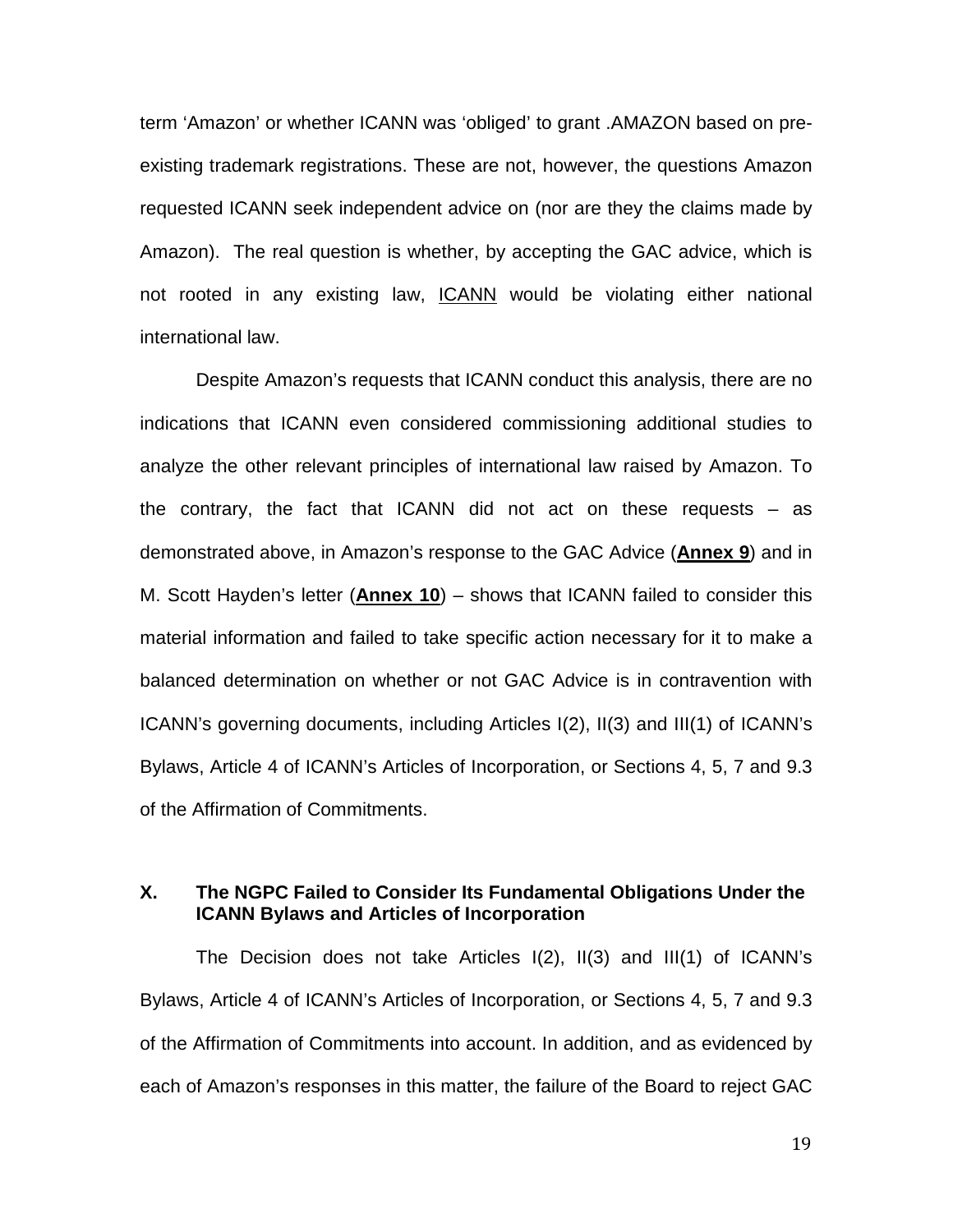term 'Amazon' or whether ICANN was 'obliged' to grant .AMAZON based on preexisting trademark registrations. These are not, however, the questions Amazon requested ICANN seek independent advice on (nor are they the claims made by Amazon). The real question is whether, by accepting the GAC advice, which is not rooted in any existing law, ICANN would be violating either national international law.

Despite Amazon's requests that ICANN conduct this analysis, there are no indications that ICANN even considered commissioning additional studies to analyze the other relevant principles of international law raised by Amazon. To the contrary, the fact that ICANN did not act on these requests  $-$  as demonstrated above, in Amazon's response to the GAC Advice (**Annex 9**) and in M. Scott Hayden's letter (**Annex 10**) – shows that ICANN failed to consider this material information and failed to take specific action necessary for it to make a balanced determination on whether or not GAC Advice is in contravention with ICANN's governing documents, including Articles I(2), II(3) and III(1) of ICANN's Bylaws, Article 4 of ICANN's Articles of Incorporation, or Sections 4, 5, 7 and 9.3 of the Affirmation of Commitments.

### **X. The NGPC Failed to Consider Its Fundamental Obligations Under the ICANN Bylaws and Articles of Incorporation**

The Decision does not take Articles I(2), II(3) and III(1) of ICANN's Bylaws, Article 4 of ICANN's Articles of Incorporation, or Sections 4, 5, 7 and 9.3 of the Affirmation of Commitments into account. In addition, and as evidenced by each of Amazon's responses in this matter, the failure of the Board to reject GAC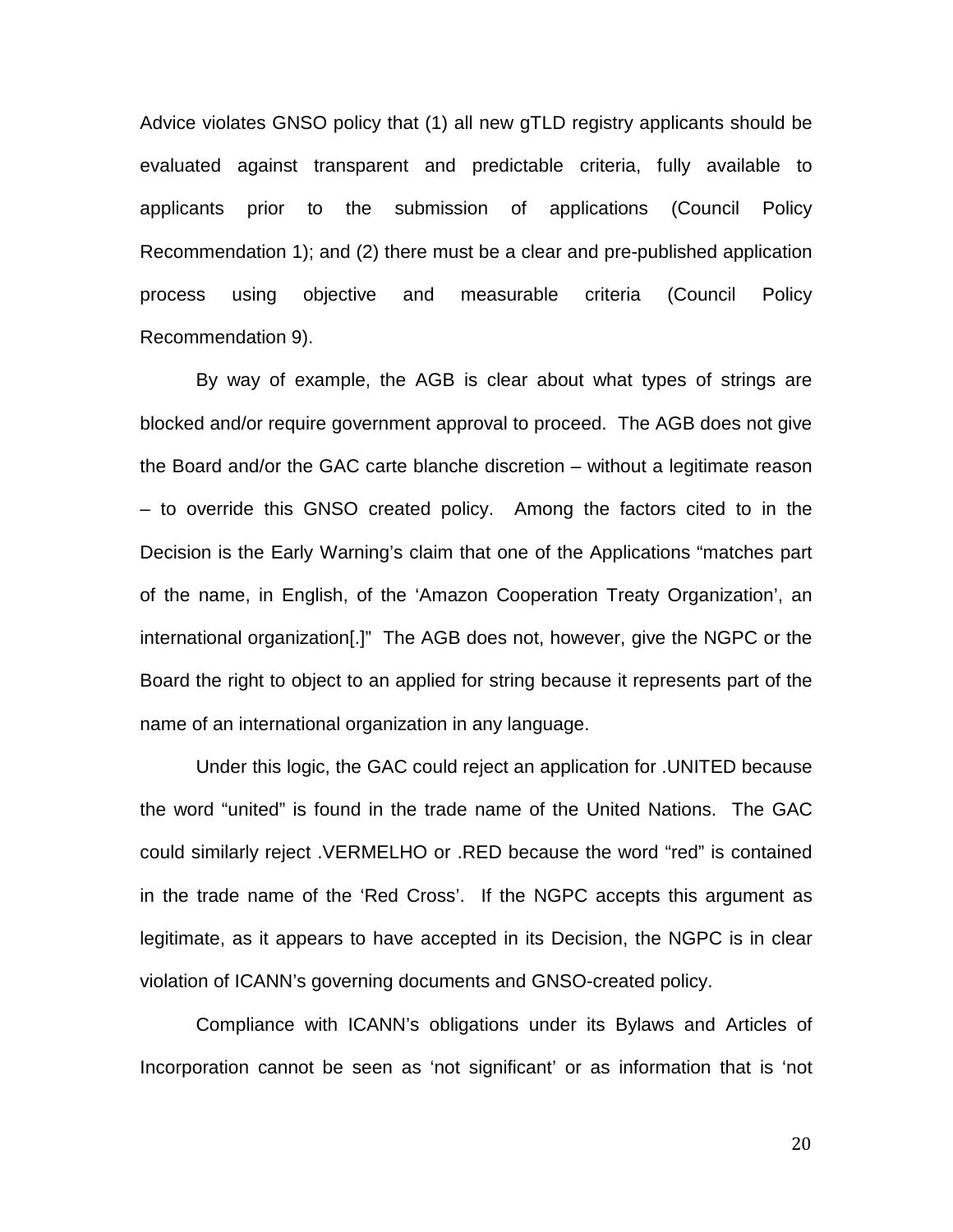Advice violates GNSO policy that (1) all new gTLD registry applicants should be evaluated against transparent and predictable criteria, fully available to applicants prior to the submission of applications (Council Policy Recommendation 1); and (2) there must be a clear and pre-published application process using objective and measurable criteria (Council Policy Recommendation 9).

By way of example, the AGB is clear about what types of strings are blocked and/or require government approval to proceed. The AGB does not give the Board and/or the GAC carte blanche discretion – without a legitimate reason – to override this GNSO created policy. Among the factors cited to in the Decision is the Early Warning's claim that one of the Applications "matches part of the name, in English, of the 'Amazon Cooperation Treaty Organization', an international organization[.]" The AGB does not, however, give the NGPC or the Board the right to object to an applied for string because it represents part of the name of an international organization in any language.

Under this logic, the GAC could reject an application for .UNITED because the word "united" is found in the trade name of the United Nations. The GAC could similarly reject .VERMELHO or .RED because the word "red" is contained in the trade name of the 'Red Cross'. If the NGPC accepts this argument as legitimate, as it appears to have accepted in its Decision, the NGPC is in clear violation of ICANN's governing documents and GNSO-created policy.

Compliance with ICANN's obligations under its Bylaws and Articles of Incorporation cannot be seen as 'not significant' or as information that is 'not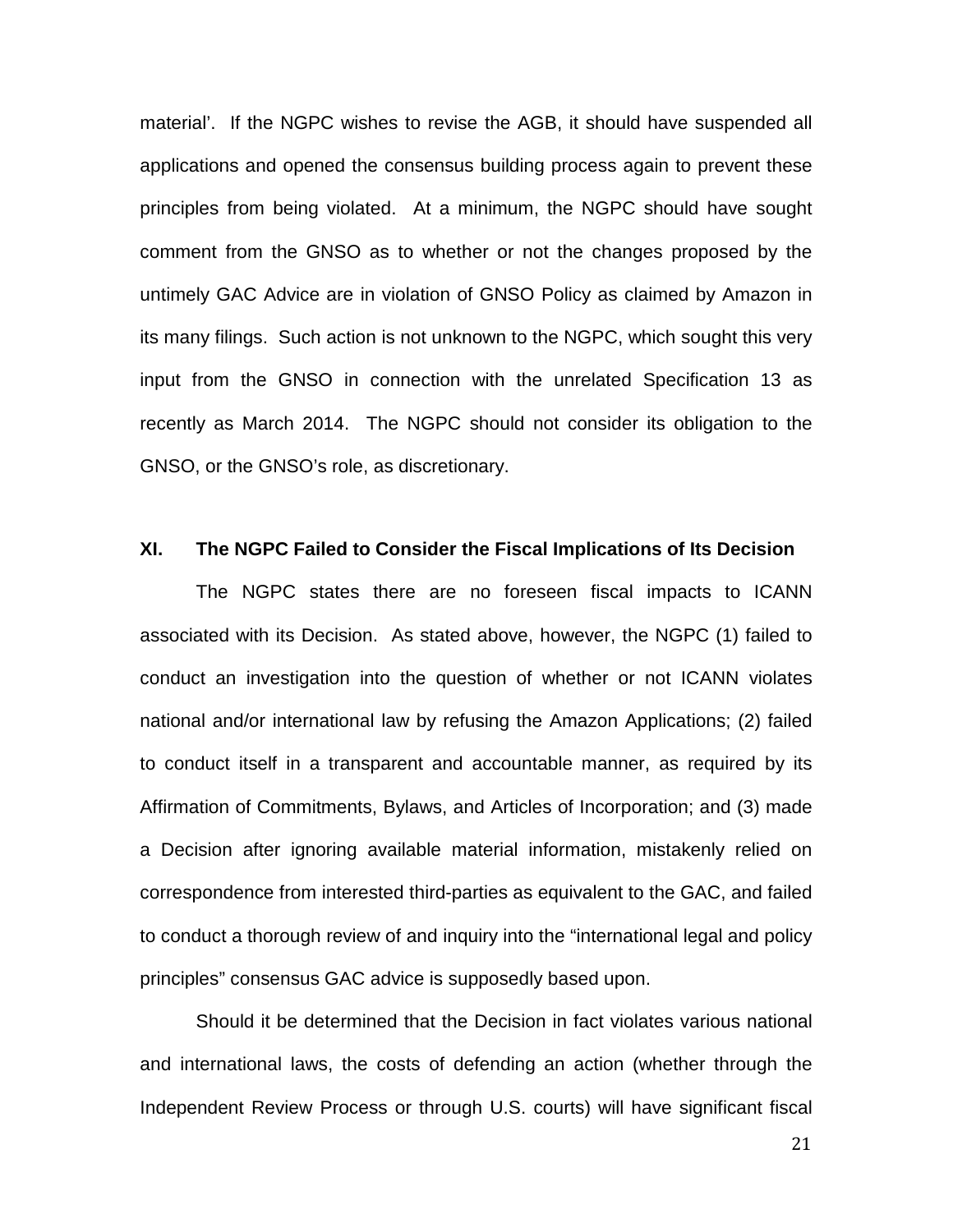material'. If the NGPC wishes to revise the AGB, it should have suspended all applications and opened the consensus building process again to prevent these principles from being violated. At a minimum, the NGPC should have sought comment from the GNSO as to whether or not the changes proposed by the untimely GAC Advice are in violation of GNSO Policy as claimed by Amazon in its many filings. Such action is not unknown to the NGPC, which sought this very input from the GNSO in connection with the unrelated Specification 13 as recently as March 2014. The NGPC should not consider its obligation to the GNSO, or the GNSO's role, as discretionary.

#### **XI. The NGPC Failed to Consider the Fiscal Implications of Its Decision**

The NGPC states there are no foreseen fiscal impacts to ICANN associated with its Decision. As stated above, however, the NGPC (1) failed to conduct an investigation into the question of whether or not ICANN violates national and/or international law by refusing the Amazon Applications; (2) failed to conduct itself in a transparent and accountable manner, as required by its Affirmation of Commitments, Bylaws, and Articles of Incorporation; and (3) made a Decision after ignoring available material information, mistakenly relied on correspondence from interested third-parties as equivalent to the GAC, and failed to conduct a thorough review of and inquiry into the "international legal and policy principles" consensus GAC advice is supposedly based upon.

Should it be determined that the Decision in fact violates various national and international laws, the costs of defending an action (whether through the Independent Review Process or through U.S. courts) will have significant fiscal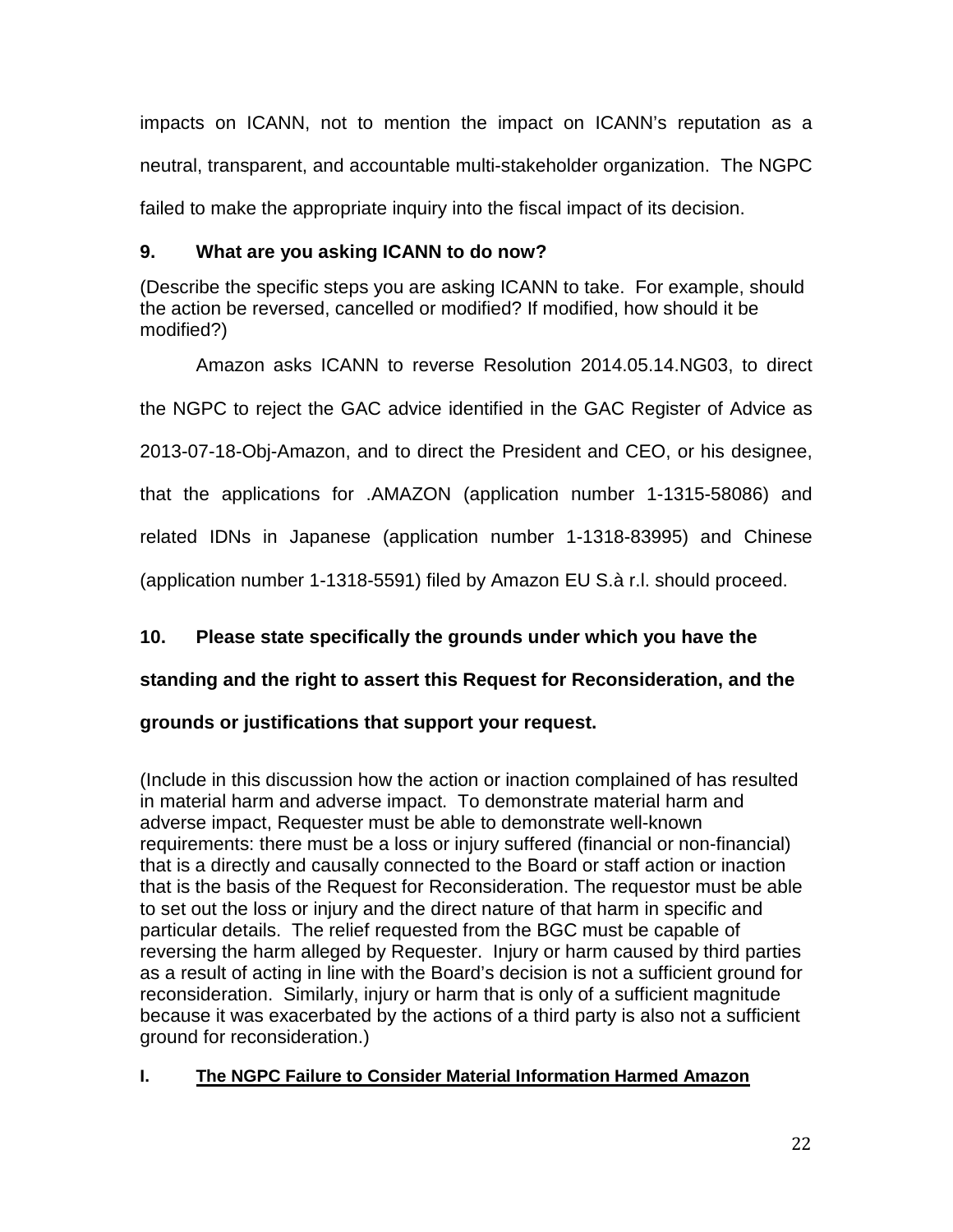impacts on ICANN, not to mention the impact on ICANN's reputation as a neutral, transparent, and accountable multi-stakeholder organization. The NGPC failed to make the appropriate inquiry into the fiscal impact of its decision.

# **9. What are you asking ICANN to do now?**

(Describe the specific steps you are asking ICANN to take. For example, should the action be reversed, cancelled or modified? If modified, how should it be modified?)

Amazon asks ICANN to reverse Resolution 2014.05.14.NG03, to direct the NGPC to reject the GAC advice identified in the GAC Register of Advice as 2013-07-18-Obj-Amazon, and to direct the President and CEO, or his designee, that the applications for .AMAZON (application number 1-1315-58086) and related IDNs in Japanese (application number 1-1318-83995) and Chinese (application number 1-1318-5591) filed by Amazon EU S.à r.l. should proceed.

# **10. Please state specifically the grounds under which you have the**

# **standing and the right to assert this Request for Reconsideration, and the**

# **grounds or justifications that support your request.**

(Include in this discussion how the action or inaction complained of has resulted in material harm and adverse impact. To demonstrate material harm and adverse impact, Requester must be able to demonstrate well-known requirements: there must be a loss or injury suffered (financial or non-financial) that is a directly and causally connected to the Board or staff action or inaction that is the basis of the Request for Reconsideration. The requestor must be able to set out the loss or injury and the direct nature of that harm in specific and particular details. The relief requested from the BGC must be capable of reversing the harm alleged by Requester. Injury or harm caused by third parties as a result of acting in line with the Board's decision is not a sufficient ground for reconsideration. Similarly, injury or harm that is only of a sufficient magnitude because it was exacerbated by the actions of a third party is also not a sufficient ground for reconsideration.)

# **I. The NGPC Failure to Consider Material Information Harmed Amazon**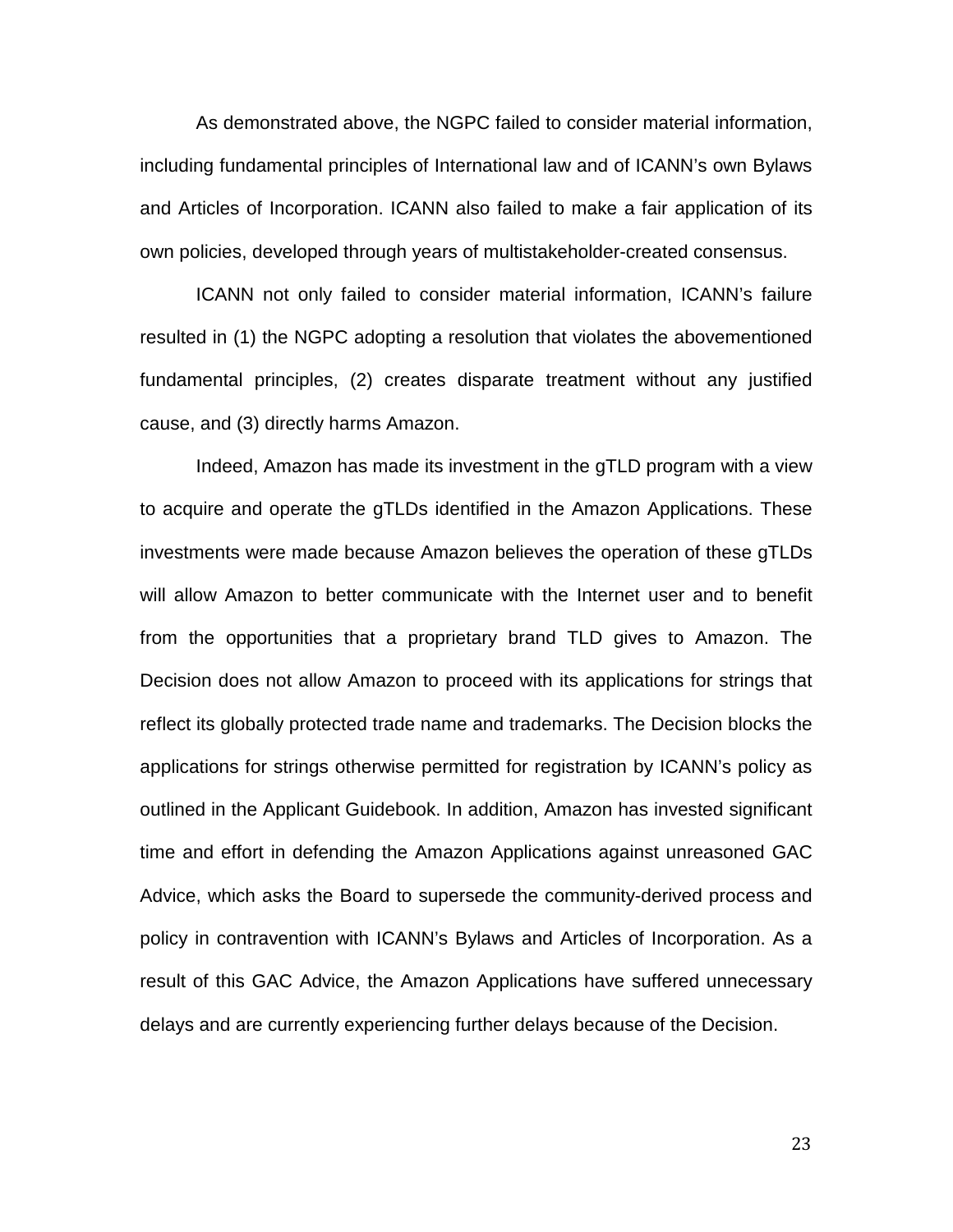As demonstrated above, the NGPC failed to consider material information, including fundamental principles of International law and of ICANN's own Bylaws and Articles of Incorporation. ICANN also failed to make a fair application of its own policies, developed through years of multistakeholder-created consensus.

ICANN not only failed to consider material information, ICANN's failure resulted in (1) the NGPC adopting a resolution that violates the abovementioned fundamental principles, (2) creates disparate treatment without any justified cause, and (3) directly harms Amazon.

Indeed, Amazon has made its investment in the gTLD program with a view to acquire and operate the gTLDs identified in the Amazon Applications. These investments were made because Amazon believes the operation of these gTLDs will allow Amazon to better communicate with the Internet user and to benefit from the opportunities that a proprietary brand TLD gives to Amazon. The Decision does not allow Amazon to proceed with its applications for strings that reflect its globally protected trade name and trademarks. The Decision blocks the applications for strings otherwise permitted for registration by ICANN's policy as outlined in the Applicant Guidebook. In addition, Amazon has invested significant time and effort in defending the Amazon Applications against unreasoned GAC Advice, which asks the Board to supersede the community-derived process and policy in contravention with ICANN's Bylaws and Articles of Incorporation. As a result of this GAC Advice, the Amazon Applications have suffered unnecessary delays and are currently experiencing further delays because of the Decision.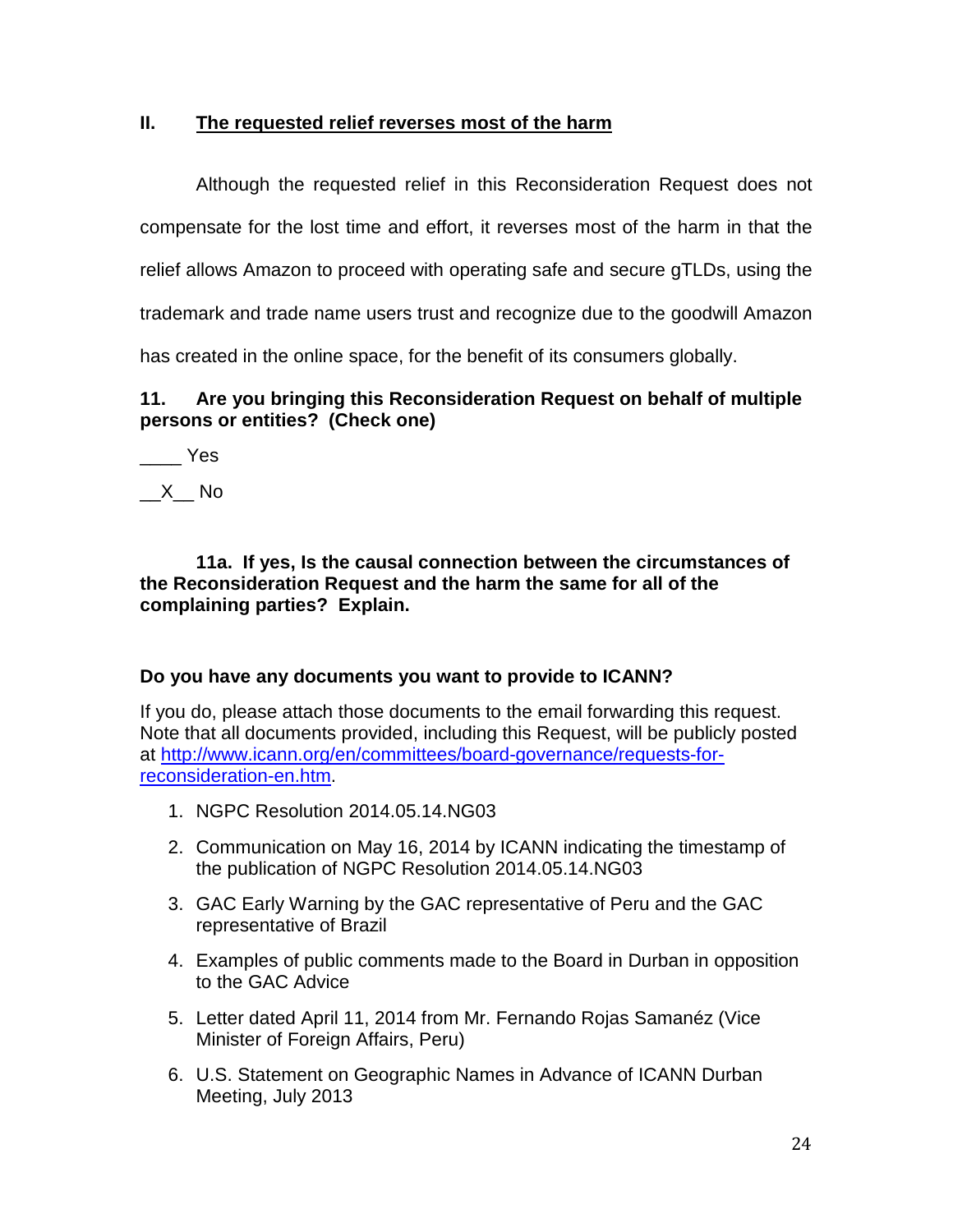## **II. The requested relief reverses most of the harm**

Although the requested relief in this Reconsideration Request does not compensate for the lost time and effort, it reverses most of the harm in that the relief allows Amazon to proceed with operating safe and secure gTLDs, using the trademark and trade name users trust and recognize due to the goodwill Amazon

has created in the online space, for the benefit of its consumers globally.

## **11. Are you bringing this Reconsideration Request on behalf of multiple persons or entities? (Check one)**

\_\_\_\_ Yes

 $X$  No

**11a. If yes, Is the causal connection between the circumstances of the Reconsideration Request and the harm the same for all of the complaining parties? Explain.** 

## **Do you have any documents you want to provide to ICANN?**

If you do, please attach those documents to the email forwarding this request. Note that all documents provided, including this Request, will be publicly posted at http://www.icann.org/en/committees/board-governance/requests-forreconsideration-en.htm.

- 1. NGPC Resolution 2014.05.14.NG03
- 2. Communication on May 16, 2014 by ICANN indicating the timestamp of the publication of NGPC Resolution 2014.05.14.NG03
- 3. GAC Early Warning by the GAC representative of Peru and the GAC representative of Brazil
- 4. Examples of public comments made to the Board in Durban in opposition to the GAC Advice
- 5. Letter dated April 11, 2014 from Mr. Fernando Rojas Samanéz (Vice Minister of Foreign Affairs, Peru)
- 6. U.S. Statement on Geographic Names in Advance of ICANN Durban Meeting, July 2013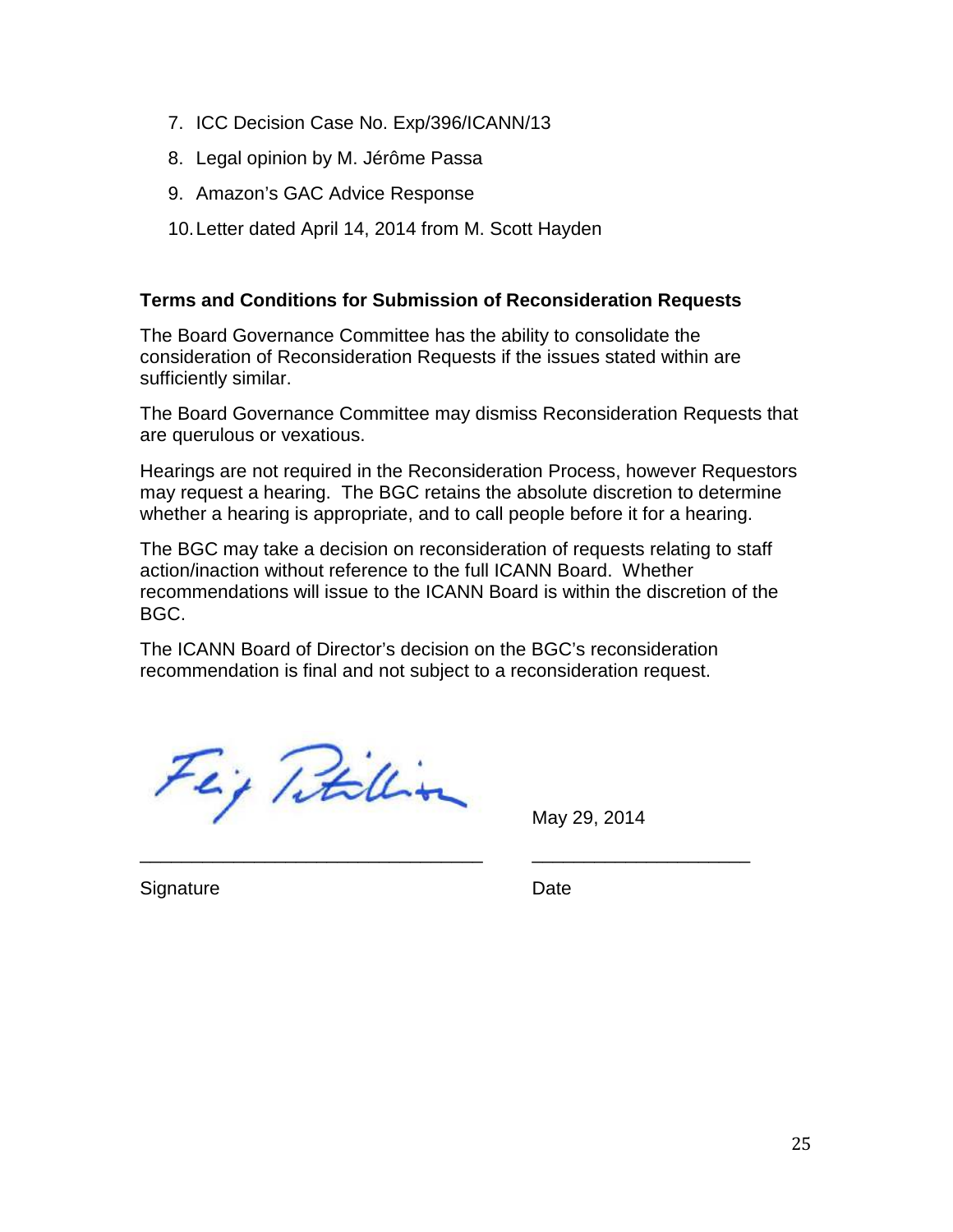- 7. ICC Decision Case No. Exp/396/ICANN/13
- 8. Legal opinion by M. Jérôme Passa
- 9. Amazon's GAC Advice Response
- 10. Letter dated April 14, 2014 from M. Scott Hayden

## **Terms and Conditions for Submission of Reconsideration Requests**

The Board Governance Committee has the ability to consolidate the consideration of Reconsideration Requests if the issues stated within are sufficiently similar.

The Board Governance Committee may dismiss Reconsideration Requests that are querulous or vexatious.

Hearings are not required in the Reconsideration Process, however Requestors may request a hearing. The BGC retains the absolute discretion to determine whether a hearing is appropriate, and to call people before it for a hearing.

The BGC may take a decision on reconsideration of requests relating to staff action/inaction without reference to the full ICANN Board. Whether recommendations will issue to the ICANN Board is within the discretion of the BGC.

The ICANN Board of Director's decision on the BGC's reconsideration recommendation is final and not subject to a reconsideration request.

\_\_\_\_\_\_\_\_\_\_\_\_\_\_\_\_\_\_\_\_\_\_\_\_\_\_\_\_\_\_\_\_\_ \_\_\_\_\_\_\_\_\_\_\_\_\_\_\_\_\_\_\_\_\_

Fej Titillion

May 29, 2014

Signature Date